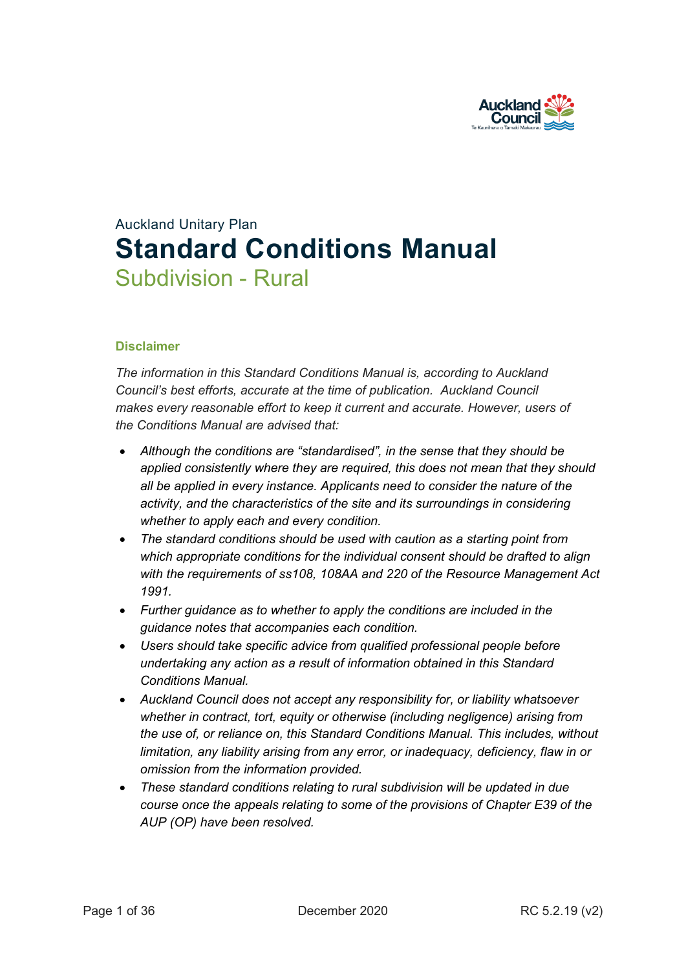

# Auckland Unitary Plan **Standard Conditions Manual** Subdivision - Rural

## **Disclaimer**

*The information in this Standard Conditions Manual is, according to Auckland Council's best efforts, accurate at the time of publication. Auckland Council makes every reasonable effort to keep it current and accurate. However, users of the Conditions Manual are advised that:* 

- *Although the conditions are "standardised", in the sense that they should be applied consistently where they are required, this does not mean that they should all be applied in every instance. Applicants need to consider the nature of the activity, and the characteristics of the site and its surroundings in considering whether to apply each and every condition.*
- *The standard conditions should be used with caution as a starting point from which appropriate conditions for the individual consent should be drafted to align with the requirements of ss108, 108AA and 220 of the Resource Management Act 1991.*
- *Further guidance as to whether to apply the conditions are included in the guidance notes that accompanies each condition.*
- *Users should take specific advice from qualified professional people before undertaking any action as a result of information obtained in this Standard Conditions Manual.*
- *Auckland Council does not accept any responsibility for, or liability whatsoever whether in contract, tort, equity or otherwise (including negligence) arising from the use of, or reliance on, this Standard Conditions Manual. This includes, without limitation, any liability arising from any error, or inadequacy, deficiency, flaw in or omission from the information provided.*
- *These standard conditions relating to rural subdivision will be updated in due course once the appeals relating to some of the provisions of Chapter E39 of the AUP (OP) have been resolved.*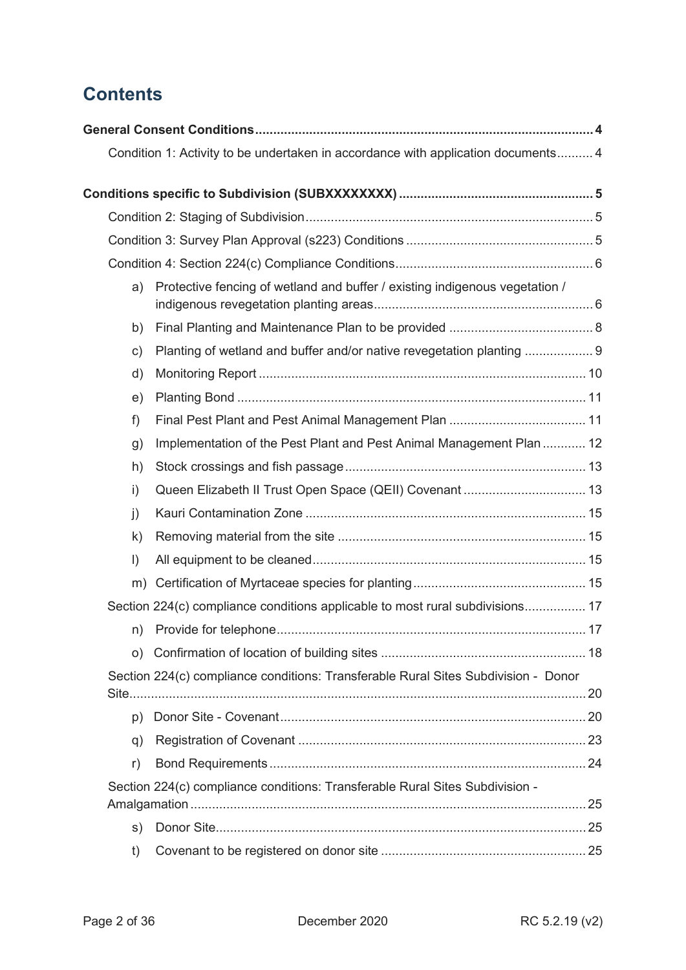## **Contents**

|               | Condition 1: Activity to be undertaken in accordance with application documents 4  |  |
|---------------|------------------------------------------------------------------------------------|--|
|               |                                                                                    |  |
|               |                                                                                    |  |
|               |                                                                                    |  |
|               |                                                                                    |  |
| a)            | Protective fencing of wetland and buffer / existing indigenous vegetation /        |  |
| b)            |                                                                                    |  |
| $\mathsf{c})$ | Planting of wetland and buffer and/or native revegetation planting  9              |  |
| d)            |                                                                                    |  |
| e)            |                                                                                    |  |
| f)            |                                                                                    |  |
| g)            | Implementation of the Pest Plant and Pest Animal Management Plan  12               |  |
| h)            |                                                                                    |  |
| i)            |                                                                                    |  |
| $\mathbf{j}$  |                                                                                    |  |
| $\mathsf{k}$  |                                                                                    |  |
| $\vert$       |                                                                                    |  |
| m)            |                                                                                    |  |
|               | Section 224(c) compliance conditions applicable to most rural subdivisions 17      |  |
| n)            |                                                                                    |  |
| O)            |                                                                                    |  |
|               | Section 224(c) compliance conditions: Transferable Rural Sites Subdivision - Donor |  |
| p)            |                                                                                    |  |
| q)            |                                                                                    |  |
| r)            |                                                                                    |  |
|               | Section 224(c) compliance conditions: Transferable Rural Sites Subdivision -       |  |
| s)            |                                                                                    |  |
| t)            |                                                                                    |  |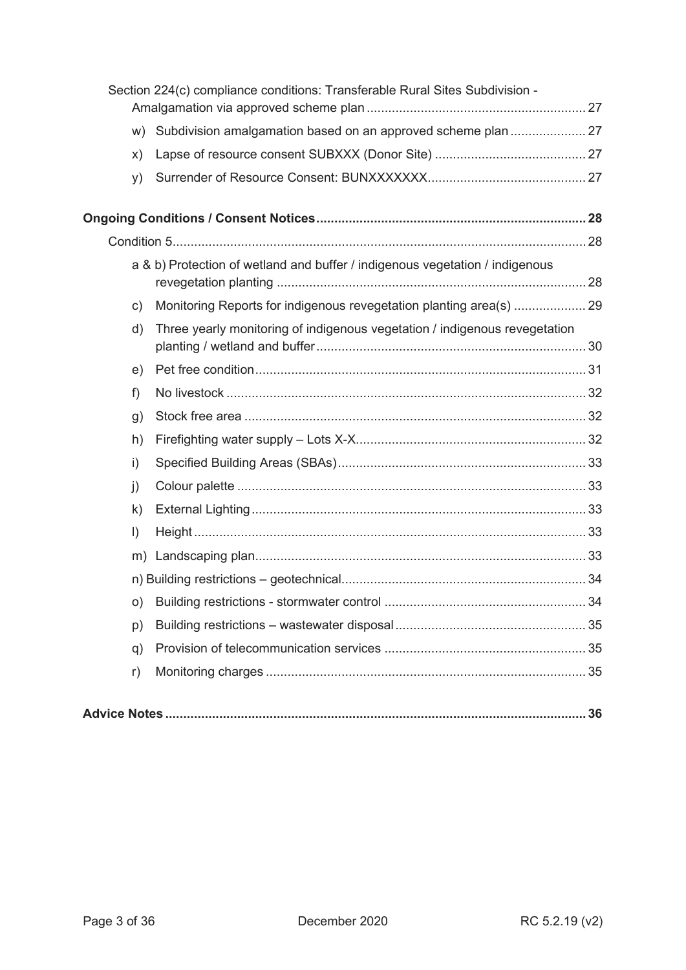|              | Section 224(c) compliance conditions: Transferable Rural Sites Subdivision - |  |
|--------------|------------------------------------------------------------------------------|--|
| W)           | Subdivision amalgamation based on an approved scheme plan  27                |  |
| X)           |                                                                              |  |
| y)           |                                                                              |  |
|              |                                                                              |  |
|              |                                                                              |  |
|              | a & b) Protection of wetland and buffer / indigenous vegetation / indigenous |  |
| c)           | Monitoring Reports for indigenous revegetation planting area(s)  29          |  |
| d)           | Three yearly monitoring of indigenous vegetation / indigenous revegetation   |  |
| e)           |                                                                              |  |
| f)           |                                                                              |  |
| g)           |                                                                              |  |
| h)           |                                                                              |  |
| i)           |                                                                              |  |
| $\mathbf{j}$ |                                                                              |  |
| $\mathsf{k}$ |                                                                              |  |
| $\vert$ )    |                                                                              |  |
|              |                                                                              |  |
|              |                                                                              |  |
| O)           |                                                                              |  |
| p)           |                                                                              |  |
| q)           |                                                                              |  |
| r)           |                                                                              |  |
|              |                                                                              |  |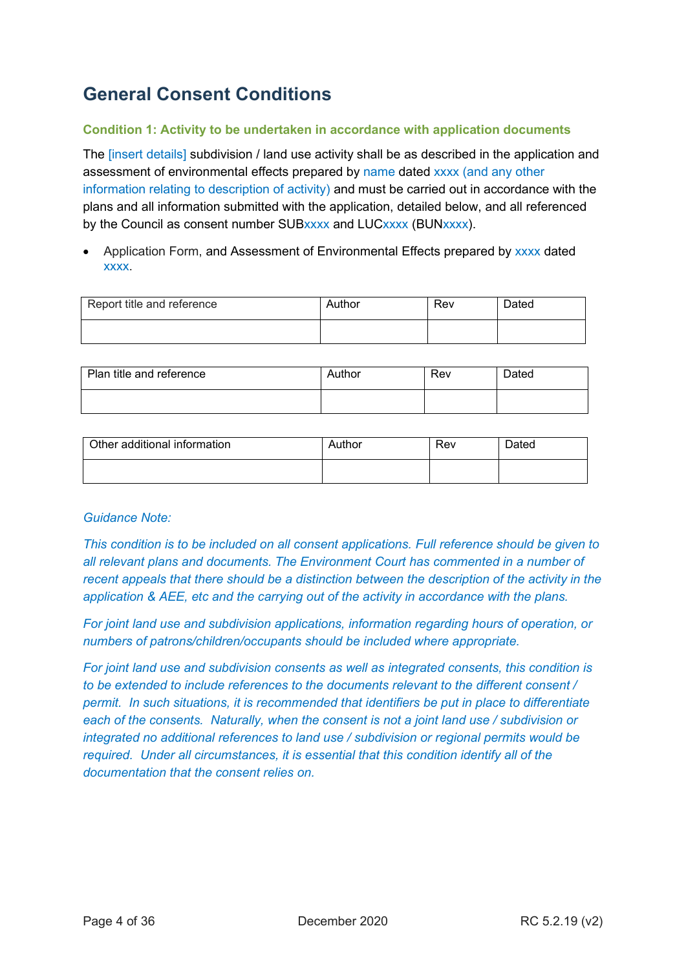## <span id="page-3-0"></span>**General Consent Conditions**

## <span id="page-3-1"></span>**Condition 1: Activity to be undertaken in accordance with application documents**

The *[insert details]* subdivision / land use activity shall be as described in the application and assessment of environmental effects prepared by name dated xxxx (and any other information relating to description of activity) and must be carried out in accordance with the plans and all information submitted with the application, detailed below, and all referenced by the Council as consent number SUBxxxx and LUCxxxx (BUNxxxx).

• Application Form, and Assessment of Environmental Effects prepared by xxxx dated xxxx.

| Report title and reference | Author | Rev | <b>Dated</b> |
|----------------------------|--------|-----|--------------|
|                            |        |     |              |

| Plan title and reference | Author | Rev | <b>Dated</b> |
|--------------------------|--------|-----|--------------|
|                          |        |     |              |

| Other additional information | Author | Rev | Dated |
|------------------------------|--------|-----|-------|
|                              |        |     |       |

## *Guidance Note:*

*This condition is to be included on all consent applications. Full reference should be given to all relevant plans and documents. The Environment Court has commented in a number of recent appeals that there should be a distinction between the description of the activity in the application & AEE, etc and the carrying out of the activity in accordance with the plans.*

*For joint land use and subdivision applications, information regarding hours of operation, or numbers of patrons/children/occupants should be included where appropriate.*

*For joint land use and subdivision consents as well as integrated consents, this condition is to be extended to include references to the documents relevant to the different consent / permit. In such situations, it is recommended that identifiers be put in place to differentiate each of the consents. Naturally, when the consent is not a joint land use / subdivision or integrated no additional references to land use / subdivision or regional permits would be required. Under all circumstances, it is essential that this condition identify all of the documentation that the consent relies on.*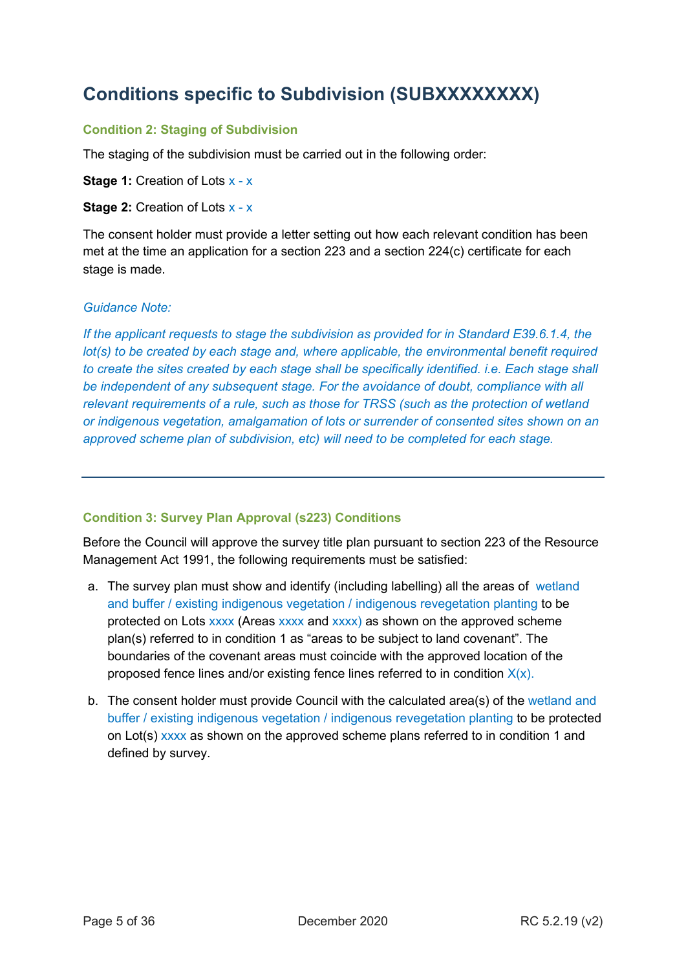## <span id="page-4-0"></span>**Conditions specific to Subdivision (SUBXXXXXXXX)**

## <span id="page-4-1"></span>**Condition 2: Staging of Subdivision**

The staging of the subdivision must be carried out in the following order:

**Stage 1: Creation of Lots x - x** 

**Stage 2: Creation of Lots x - x** 

The consent holder must provide a letter setting out how each relevant condition has been met at the time an application for a section 223 and a section 224(c) certificate for each stage is made.

#### *Guidance Note:*

*If the applicant requests to stage the subdivision as provided for in Standard E39.6.1.4, the lot(s)* to be created by each stage and, where applicable, the environmental benefit required *to create the sites created by each stage shall be specifically identified. i.e. Each stage shall be independent of any subsequent stage. For the avoidance of doubt, compliance with all relevant requirements of a rule, such as those for TRSS (such as the protection of wetland or indigenous vegetation, amalgamation of lots or surrender of consented sites shown on an approved scheme plan of subdivision, etc) will need to be completed for each stage.*

## <span id="page-4-2"></span>**Condition 3: Survey Plan Approval (s223) Conditions**

Before the Council will approve the survey title plan pursuant to section 223 of the Resource Management Act 1991, the following requirements must be satisfied:

- a. The survey plan must show and identify (including labelling) all the areas of wetland and buffer / existing indigenous vegetation / indigenous revegetation planting to be protected on Lots xxxx (Areas xxxx and xxxx) as shown on the approved scheme plan(s) referred to in condition 1 as "areas to be subject to land covenant". The boundaries of the covenant areas must coincide with the approved location of the proposed fence lines and/or existing fence lines referred to in condition  $X(x)$ .
- b. The consent holder must provide Council with the calculated area(s) of the wetland and buffer / existing indigenous vegetation / indigenous revegetation planting to be protected on Lot(s) xxxx as shown on the approved scheme plans referred to in condition 1 and defined by survey.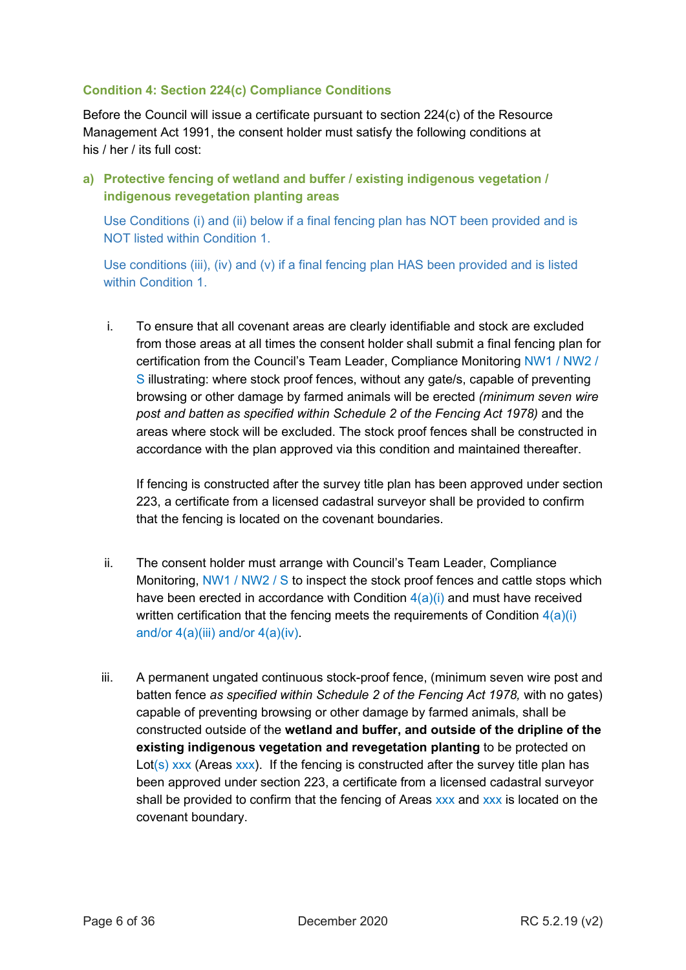## <span id="page-5-0"></span>**Condition 4: Section 224(c) Compliance Conditions**

Before the Council will issue a certificate pursuant to section 224(c) of the Resource Management Act 1991, the consent holder must satisfy the following conditions at his / her / its full cost:

<span id="page-5-1"></span>**a) Protective fencing of wetland and buffer / existing indigenous vegetation / indigenous revegetation planting areas**

Use Conditions (i) and (ii) below if a final fencing plan has NOT been provided and is NOT listed within Condition 1.

Use conditions (iii), (iv) and (v) if a final fencing plan HAS been provided and is listed within Condition 1

i. To ensure that all covenant areas are clearly identifiable and stock are excluded from those areas at all times the consent holder shall submit a final fencing plan for certification from the Council's Team Leader, Compliance Monitoring NW1 / NW2 / S illustrating: where stock proof fences, without any gate/s, capable of preventing browsing or other damage by farmed animals will be erected *(minimum seven wire post and batten as specified within Schedule 2 of the Fencing Act 1978)* and the areas where stock will be excluded. The stock proof fences shall be constructed in accordance with the plan approved via this condition and maintained thereafter.

If fencing is constructed after the survey title plan has been approved under section 223, a certificate from a licensed cadastral surveyor shall be provided to confirm that the fencing is located on the covenant boundaries.

- ii. The consent holder must arrange with Council's Team Leader, Compliance Monitoring, NW1 / NW2 / S to inspect the stock proof fences and cattle stops which have been erected in accordance with Condition  $4(a)(i)$  and must have received written certification that the fencing meets the requirements of Condition  $4(a)(i)$ and/or  $4(a)(iii)$  and/or  $4(a)(iv)$ .
- iii. A permanent ungated continuous stock-proof fence, (minimum seven wire post and batten fence *as specified within Schedule 2 of the Fencing Act 1978,* with no gates) capable of preventing browsing or other damage by farmed animals, shall be constructed outside of the **wetland and buffer, and outside of the dripline of the existing indigenous vegetation and revegetation planting** to be protected on Lot(s)  $xxx$  (Areas  $xxx$ ). If the fencing is constructed after the survey title plan has been approved under section 223, a certificate from a licensed cadastral surveyor shall be provided to confirm that the fencing of Areas xxx and xxx is located on the covenant boundary.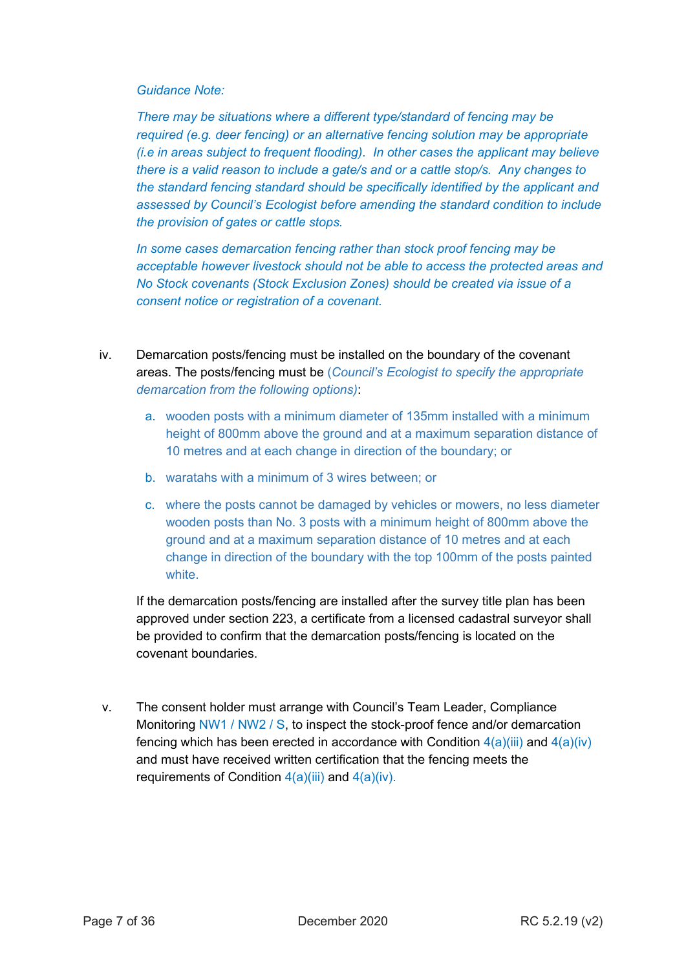*There may be situations where a different type/standard of fencing may be required (e.g. deer fencing) or an alternative fencing solution may be appropriate (i.e in areas subject to frequent flooding). In other cases the applicant may believe there is a valid reason to include a gate/s and or a cattle stop/s. Any changes to the standard fencing standard should be specifically identified by the applicant and assessed by Council's Ecologist before amending the standard condition to include the provision of gates or cattle stops.* 

*In some cases demarcation fencing rather than stock proof fencing may be acceptable however livestock should not be able to access the protected areas and No Stock covenants (Stock Exclusion Zones) should be created via issue of a consent notice or registration of a covenant.* 

- iv. Demarcation posts/fencing must be installed on the boundary of the covenant areas. The posts/fencing must be (*Council's Ecologist to specify the appropriate demarcation from the following options)*:
	- a. wooden posts with a minimum diameter of 135mm installed with a minimum height of 800mm above the ground and at a maximum separation distance of 10 metres and at each change in direction of the boundary; or
	- b. waratahs with a minimum of 3 wires between; or
	- c. where the posts cannot be damaged by vehicles or mowers, no less diameter wooden posts than No. 3 posts with a minimum height of 800mm above the ground and at a maximum separation distance of 10 metres and at each change in direction of the boundary with the top 100mm of the posts painted white.

If the demarcation posts/fencing are installed after the survey title plan has been approved under section 223, a certificate from a licensed cadastral surveyor shall be provided to confirm that the demarcation posts/fencing is located on the covenant boundaries.

v. The consent holder must arrange with Council's Team Leader, Compliance Monitoring NW1 / NW2 / S, to inspect the stock-proof fence and/or demarcation fencing which has been erected in accordance with Condition  $4(a)(iii)$  and  $4(a)(iv)$ and must have received written certification that the fencing meets the requirements of Condition  $4(a)(iii)$  and  $4(a)(iv)$ .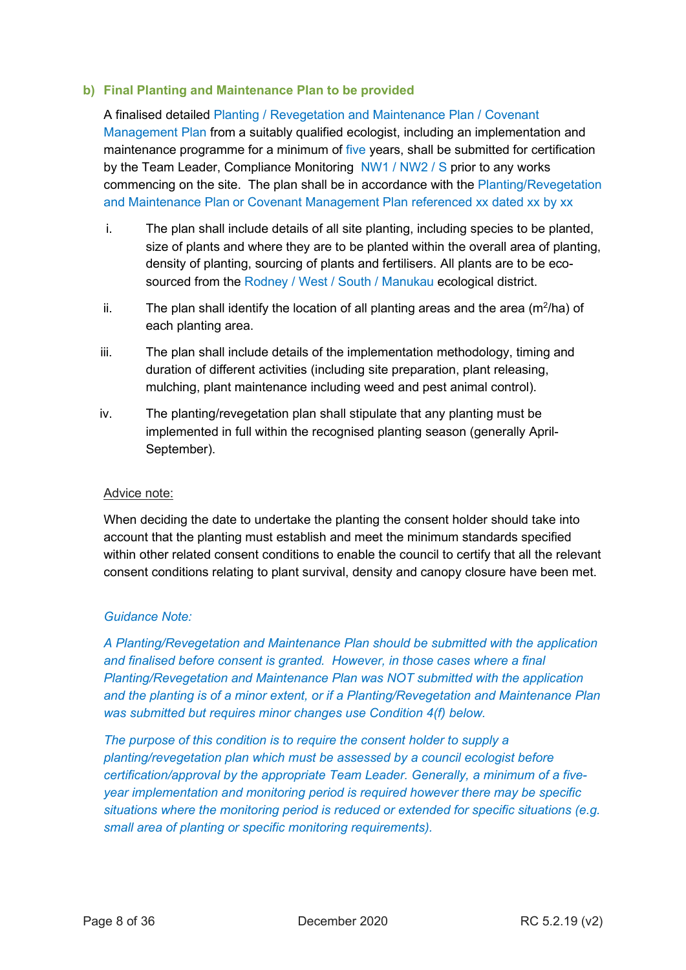#### <span id="page-7-0"></span>**b) Final Planting and Maintenance Plan to be provided**

A finalised detailed Planting / Revegetation and Maintenance Plan / Covenant Management Plan from a suitably qualified ecologist, including an implementation and maintenance programme for a minimum of five years, shall be submitted for certification by the Team Leader, Compliance Monitoring NW1 / NW2 / S prior to any works commencing on the site. The plan shall be in accordance with the Planting/Revegetation and Maintenance Plan or Covenant Management Plan referenced xx dated xx by xx

- i. The plan shall include details of all site planting, including species to be planted, size of plants and where they are to be planted within the overall area of planting, density of planting, sourcing of plants and fertilisers. All plants are to be ecosourced from the Rodney / West / South / Manukau ecological district.
- ii. The plan shall identify the location of all planting areas and the area (m<sup>2</sup>/ha) of each planting area.
- iii. The plan shall include details of the implementation methodology, timing and duration of different activities (including site preparation, plant releasing, mulching, plant maintenance including weed and pest animal control).
- iv. The planting/revegetation plan shall stipulate that any planting must be implemented in full within the recognised planting season (generally April-September).

#### Advice note:

When deciding the date to undertake the planting the consent holder should take into account that the planting must establish and meet the minimum standards specified within other related consent conditions to enable the council to certify that all the relevant consent conditions relating to plant survival, density and canopy closure have been met.

## *Guidance Note:*

*A Planting/Revegetation and Maintenance Plan should be submitted with the application and finalised before consent is granted. However, in those cases where a final Planting/Revegetation and Maintenance Plan was NOT submitted with the application and the planting is of a minor extent, or if a Planting/Revegetation and Maintenance Plan was submitted but requires minor changes use Condition 4(f) below.* 

*The purpose of this condition is to require the consent holder to supply a planting/revegetation plan which must be assessed by a council ecologist before certification/approval by the appropriate Team Leader. Generally, a minimum of a fiveyear implementation and monitoring period is required however there may be specific situations where the monitoring period is reduced or extended for specific situations (e.g. small area of planting or specific monitoring requirements).*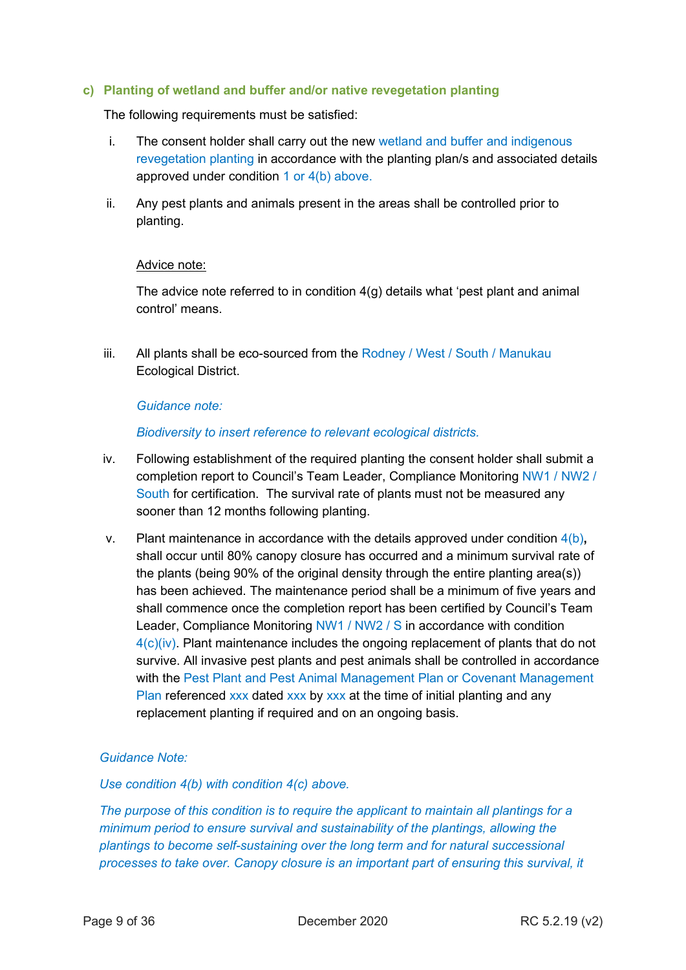#### <span id="page-8-0"></span>**c) Planting of wetland and buffer and/or native revegetation planting**

The following requirements must be satisfied:

- i. The consent holder shall carry out the new wetland and buffer and indigenous revegetation planting in accordance with the planting plan/s and associated details approved under condition 1 or 4(b) above.
- ii. Any pest plants and animals present in the areas shall be controlled prior to planting.

#### Advice note:

The advice note referred to in condition 4(g) details what 'pest plant and animal control' means.

iii. All plants shall be eco-sourced from the Rodney / West / South / Manukau Ecological District.

#### *Guidance note:*

*Biodiversity to insert reference to relevant ecological districts.*

- iv. Following establishment of the required planting the consent holder shall submit a completion report to Council's Team Leader, Compliance Monitoring NW1 / NW2 / South for certification. The survival rate of plants must not be measured any sooner than 12 months following planting.
- v. Plant maintenance in accordance with the details approved under condition 4(b)**,** shall occur until 80% canopy closure has occurred and a minimum survival rate of the plants (being 90% of the original density through the entire planting area(s)) has been achieved. The maintenance period shall be a minimum of five years and shall commence once the completion report has been certified by Council's Team Leader, Compliance Monitoring NW1 / NW2 / S in accordance with condition 4(c)(iv). Plant maintenance includes the ongoing replacement of plants that do not survive. All invasive pest plants and pest animals shall be controlled in accordance with the Pest Plant and Pest Animal Management Plan or Covenant Management Plan referenced xxx dated xxx by xxx at the time of initial planting and any replacement planting if required and on an ongoing basis.

#### *Guidance Note:*

#### *Use condition 4(b) with condition 4(c) above.*

*The purpose of this condition is to require the applicant to maintain all plantings for a minimum period to ensure survival and sustainability of the plantings, allowing the plantings to become self-sustaining over the long term and for natural successional processes to take over. Canopy closure is an important part of ensuring this survival, it*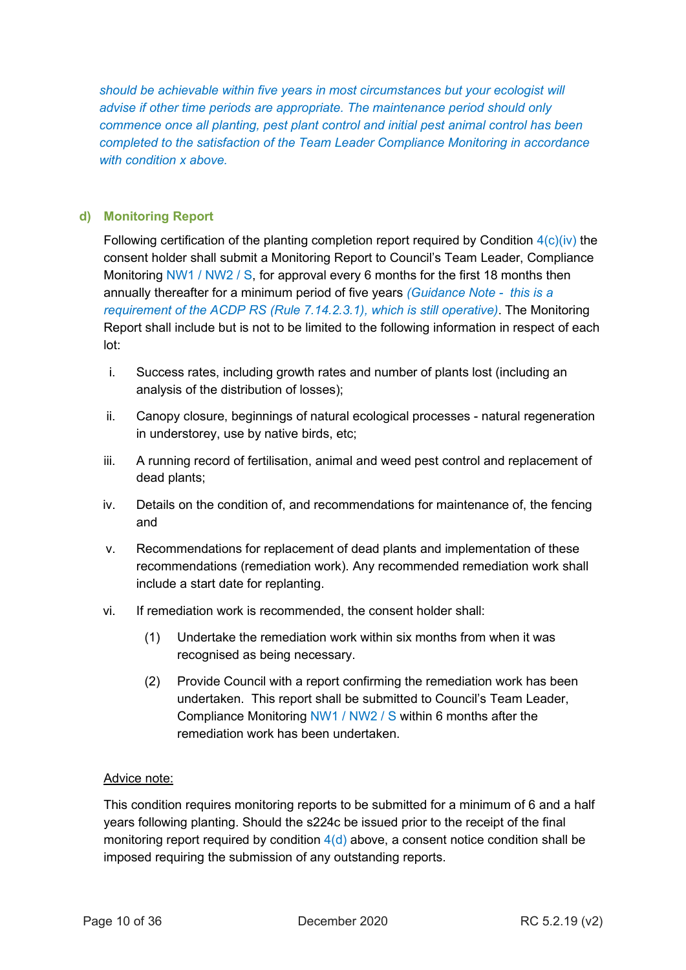*should be achievable within five years in most circumstances but your ecologist will advise if other time periods are appropriate. The maintenance period should only commence once all planting, pest plant control and initial pest animal control has been completed to the satisfaction of the Team Leader Compliance Monitoring in accordance with condition x above.*

## <span id="page-9-0"></span>**d) Monitoring Report**

Following certification of the planting completion report required by Condition  $4(c)(iv)$  the consent holder shall submit a Monitoring Report to Council's Team Leader, Compliance Monitoring NW1 / NW2 / S, for approval every 6 months for the first 18 months then annually thereafter for a minimum period of five years *(Guidance Note - this is a requirement of the ACDP RS (Rule 7.14.2.3.1), which is still operative)*. The Monitoring Report shall include but is not to be limited to the following information in respect of each lot:

- i. Success rates, including growth rates and number of plants lost (including an analysis of the distribution of losses);
- ii. Canopy closure, beginnings of natural ecological processes natural regeneration in understorey, use by native birds, etc;
- iii. A running record of fertilisation, animal and weed pest control and replacement of dead plants;
- iv. Details on the condition of, and recommendations for maintenance of, the fencing and
- v. Recommendations for replacement of dead plants and implementation of these recommendations (remediation work). Any recommended remediation work shall include a start date for replanting.
- vi. If remediation work is recommended, the consent holder shall:
	- (1) Undertake the remediation work within six months from when it was recognised as being necessary.
	- (2) Provide Council with a report confirming the remediation work has been undertaken. This report shall be submitted to Council's Team Leader, Compliance Monitoring NW1 / NW2 / S within 6 months after the remediation work has been undertaken.

## Advice note:

This condition requires monitoring reports to be submitted for a minimum of 6 and a half years following planting. Should the s224c be issued prior to the receipt of the final monitoring report required by condition  $4(d)$  above, a consent notice condition shall be imposed requiring the submission of any outstanding reports.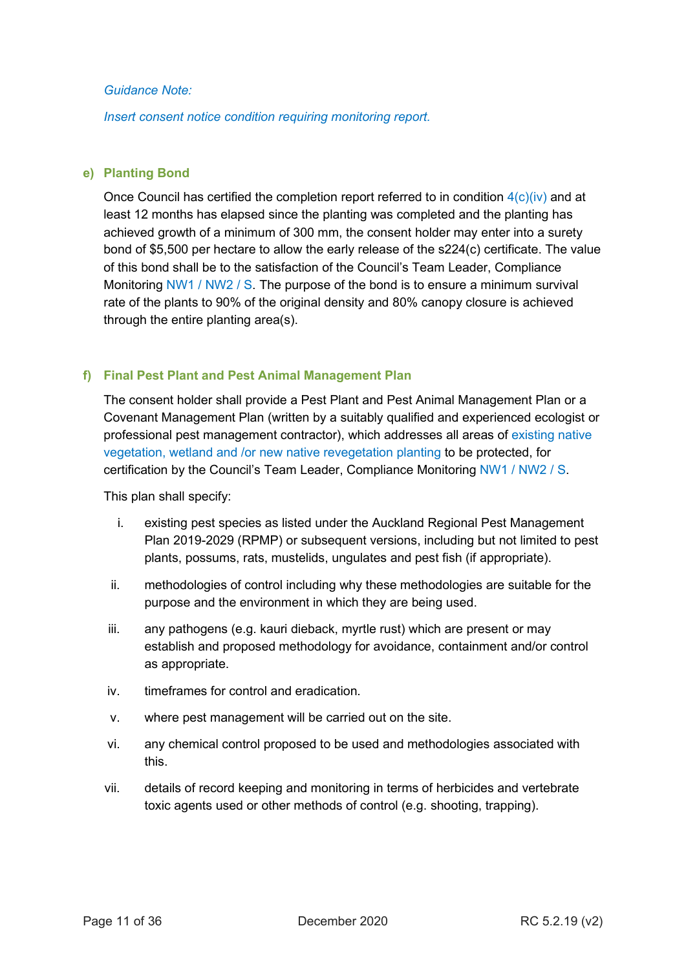*Insert consent notice condition requiring monitoring report.* 

## <span id="page-10-0"></span>**e) Planting Bond**

Once Council has certified the completion report referred to in condition  $4(c)(iv)$  and at least 12 months has elapsed since the planting was completed and the planting has achieved growth of a minimum of 300 mm, the consent holder may enter into a surety bond of \$5,500 per hectare to allow the early release of the s224(c) certificate. The value of this bond shall be to the satisfaction of the Council's Team Leader, Compliance Monitoring NW1 / NW2 / S. The purpose of the bond is to ensure a minimum survival rate of the plants to 90% of the original density and 80% canopy closure is achieved through the entire planting area(s).

#### <span id="page-10-1"></span>**f) Final Pest Plant and Pest Animal Management Plan**

The consent holder shall provide a Pest Plant and Pest Animal Management Plan or a Covenant Management Plan (written by a suitably qualified and experienced ecologist or professional pest management contractor), which addresses all areas of existing native vegetation, wetland and /or new native revegetation planting to be protected, for certification by the Council's Team Leader, Compliance Monitoring NW1 / NW2 / S.

This plan shall specify:

- i. existing pest species as listed under the Auckland Regional Pest Management Plan 2019-2029 (RPMP) or subsequent versions, including but not limited to pest plants, possums, rats, mustelids, ungulates and pest fish (if appropriate).
- ii. methodologies of control including why these methodologies are suitable for the purpose and the environment in which they are being used.
- iii. any pathogens (e.g. kauri dieback, myrtle rust) which are present or may establish and proposed methodology for avoidance, containment and/or control as appropriate.
- iv. timeframes for control and eradication.
- v. where pest management will be carried out on the site.
- vi. any chemical control proposed to be used and methodologies associated with this.
- vii. details of record keeping and monitoring in terms of herbicides and vertebrate toxic agents used or other methods of control (e.g. shooting, trapping).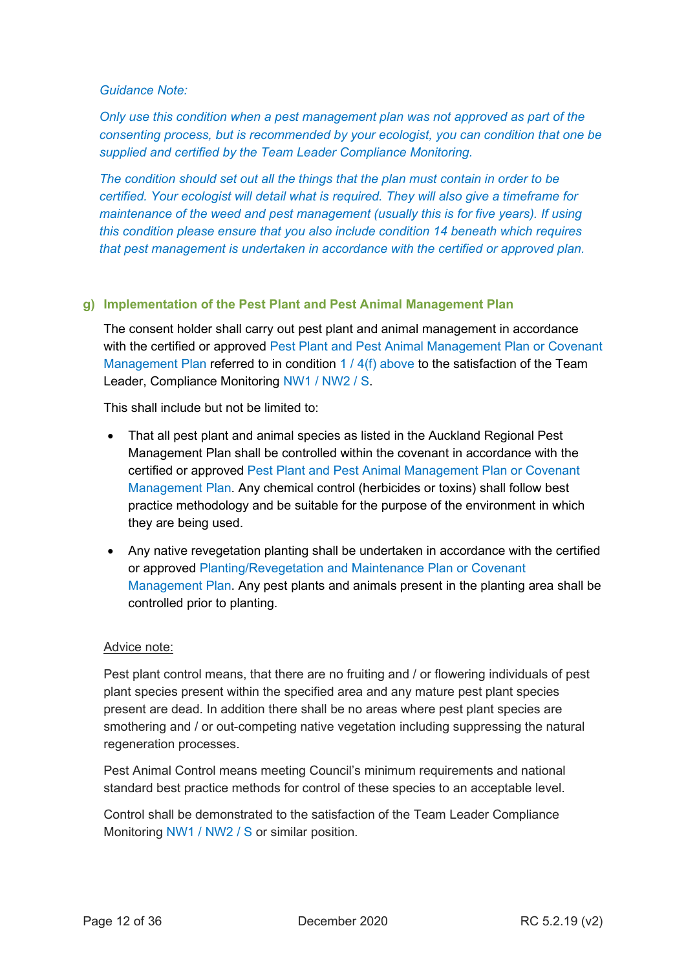*Only use this condition when a pest management plan was not approved as part of the consenting process, but is recommended by your ecologist, you can condition that one be supplied and certified by the Team Leader Compliance Monitoring.* 

*The condition should set out all the things that the plan must contain in order to be certified. Your ecologist will detail what is required. They will also give a timeframe for maintenance of the weed and pest management (usually this is for five years). If using this condition please ensure that you also include condition 14 beneath which requires that pest management is undertaken in accordance with the certified or approved plan.* 

## <span id="page-11-0"></span>**g) Implementation of the Pest Plant and Pest Animal Management Plan**

The consent holder shall carry out pest plant and animal management in accordance with the certified or approved Pest Plant and Pest Animal Management Plan or Covenant Management Plan referred to in condition 1 / 4(f) above to the satisfaction of the Team Leader, Compliance Monitoring NW1 / NW2 / S.

This shall include but not be limited to:

- That all pest plant and animal species as listed in the Auckland Regional Pest Management Plan shall be controlled within the covenant in accordance with the certified or approved Pest Plant and Pest Animal Management Plan or Covenant Management Plan. Any chemical control (herbicides or toxins) shall follow best practice methodology and be suitable for the purpose of the environment in which they are being used.
- Any native revegetation planting shall be undertaken in accordance with the certified or approved Planting/Revegetation and Maintenance Plan or Covenant Management Plan. Any pest plants and animals present in the planting area shall be controlled prior to planting.

#### Advice note:

Pest plant control means, that there are no fruiting and / or flowering individuals of pest plant species present within the specified area and any mature pest plant species present are dead. In addition there shall be no areas where pest plant species are smothering and / or out-competing native vegetation including suppressing the natural regeneration processes.

Pest Animal Control means meeting Council's minimum requirements and national standard best practice methods for control of these species to an acceptable level.

Control shall be demonstrated to the satisfaction of the Team Leader Compliance Monitoring NW1 / NW2 / S or similar position.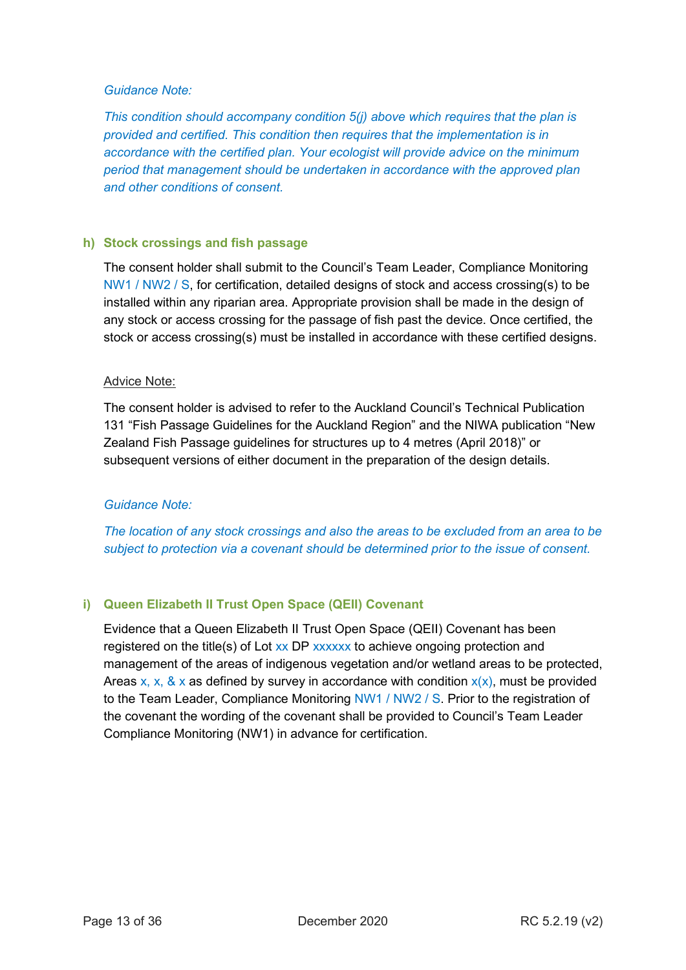*This condition should accompany condition 5(j) above which requires that the plan is provided and certified. This condition then requires that the implementation is in accordance with the certified plan. Your ecologist will provide advice on the minimum period that management should be undertaken in accordance with the approved plan and other conditions of consent.*

## <span id="page-12-0"></span>**h) Stock crossings and fish passage**

The consent holder shall submit to the Council's Team Leader, Compliance Monitoring NW1 / NW2 / S, for certification, detailed designs of stock and access crossing(s) to be installed within any riparian area. Appropriate provision shall be made in the design of any stock or access crossing for the passage of fish past the device. Once certified, the stock or access crossing(s) must be installed in accordance with these certified designs.

## Advice Note:

The consent holder is advised to refer to the Auckland Council's Technical Publication 131 "Fish Passage Guidelines for the Auckland Region" and the NIWA publication "New Zealand Fish Passage guidelines for structures up to 4 metres (April 2018)" or subsequent versions of either document in the preparation of the design details.

## *Guidance Note:*

*The location of any stock crossings and also the areas to be excluded from an area to be subject to protection via a covenant should be determined prior to the issue of consent.*

## <span id="page-12-1"></span>**i) Queen Elizabeth II Trust Open Space (QEII) Covenant**

Evidence that a Queen Elizabeth II Trust Open Space (QEII) Covenant has been registered on the title(s) of Lot xx DP xxxxxx to achieve ongoing protection and management of the areas of indigenous vegetation and/or wetland areas to be protected, Areas x, x, & x as defined by survey in accordance with condition  $x(x)$ , must be provided to the Team Leader, Compliance Monitoring NW1 / NW2 / S. Prior to the registration of the covenant the wording of the covenant shall be provided to Council's Team Leader Compliance Monitoring (NW1) in advance for certification.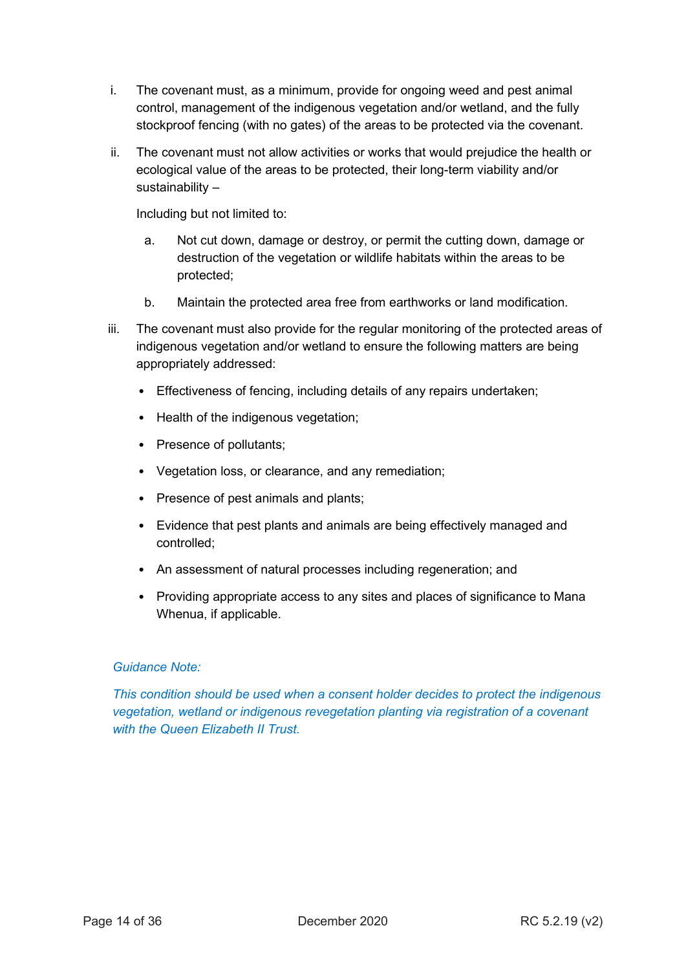- i. The covenant must, as a minimum, provide for ongoing weed and pest animal control, management of the indigenous vegetation and/or wetland, and the fully stockproof fencing (with no gates) of the areas to be protected via the covenant.
- ii. The covenant must not allow activities or works that would prejudice the health or ecological value of the areas to be protected, their long-term viability and/or sustainability –

Including but not limited to:

- a. Not cut down, damage or destroy, or permit the cutting down, damage or destruction of the vegetation or wildlife habitats within the areas to be protected;
- b. Maintain the protected area free from earthworks or land modification.
- iii. The covenant must also provide for the regular monitoring of the protected areas of indigenous vegetation and/or wetland to ensure the following matters are being appropriately addressed:
	- Effectiveness of fencing, including details of any repairs undertaken;
	- Health of the indigenous vegetation;
	- Presence of pollutants;
	- Vegetation loss, or clearance, and any remediation;
	- Presence of pest animals and plants;
	- Evidence that pest plants and animals are being effectively managed and controlled;
	- An assessment of natural processes including regeneration; and
	- Providing appropriate access to any sites and places of significance to Mana Whenua, if applicable.

## *Guidance Note:*

*This condition should be used when a consent holder decides to protect the indigenous vegetation, wetland or indigenous revegetation planting via registration of a covenant with the Queen Elizabeth II Trust.*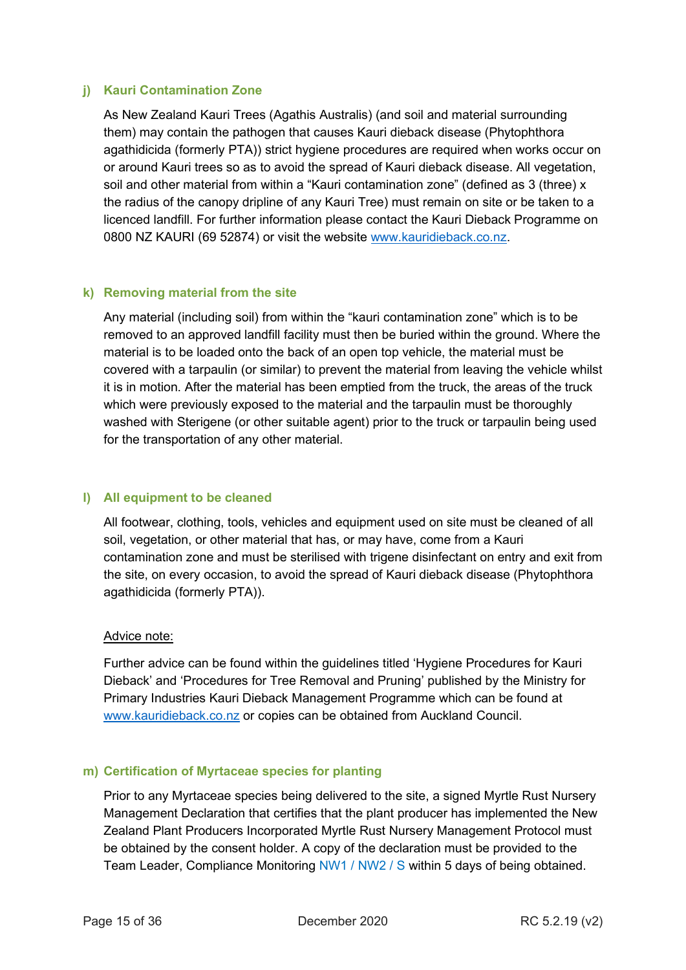## <span id="page-14-0"></span>**j) Kauri Contamination Zone**

As New Zealand Kauri Trees (Agathis Australis) (and soil and material surrounding them) may contain the pathogen that causes Kauri dieback disease (Phytophthora agathidicida (formerly PTA)) strict hygiene procedures are required when works occur on or around Kauri trees so as to avoid the spread of Kauri dieback disease. All vegetation, soil and other material from within a "Kauri contamination zone" (defined as 3 (three) x the radius of the canopy dripline of any Kauri Tree) must remain on site or be taken to a licenced landfill. For further information please contact the Kauri Dieback Programme on 0800 NZ KAURI (69 52874) or visit the website [www.kauridieback.co.nz.](http://www.kauridieback.co.nz/)

## <span id="page-14-1"></span>**k) Removing material from the site**

Any material (including soil) from within the "kauri contamination zone" which is to be removed to an approved landfill facility must then be buried within the ground. Where the material is to be loaded onto the back of an open top vehicle, the material must be covered with a tarpaulin (or similar) to prevent the material from leaving the vehicle whilst it is in motion. After the material has been emptied from the truck, the areas of the truck which were previously exposed to the material and the tarpaulin must be thoroughly washed with Sterigene (or other suitable agent) prior to the truck or tarpaulin being used for the transportation of any other material.

#### <span id="page-14-2"></span>**l) All equipment to be cleaned**

All footwear, clothing, tools, vehicles and equipment used on site must be cleaned of all soil, vegetation, or other material that has, or may have, come from a Kauri contamination zone and must be sterilised with trigene disinfectant on entry and exit from the site, on every occasion, to avoid the spread of Kauri dieback disease (Phytophthora agathidicida (formerly PTA)).

#### Advice note:

Further advice can be found within the guidelines titled 'Hygiene Procedures for Kauri Dieback' and 'Procedures for Tree Removal and Pruning' published by the Ministry for Primary Industries Kauri Dieback Management Programme which can be found at [www.kauridieback.co.nz](http://www.kauridieback.co.nz/) or copies can be obtained from Auckland Council.

## <span id="page-14-3"></span>**m) Certification of Myrtaceae species for planting**

Prior to any Myrtaceae species being delivered to the site, a signed Myrtle Rust Nursery Management Declaration that certifies that the plant producer has implemented the New Zealand Plant Producers Incorporated Myrtle Rust Nursery Management Protocol must be obtained by the consent holder. A copy of the declaration must be provided to the Team Leader, Compliance Monitoring NW1 / NW2 / S within 5 days of being obtained.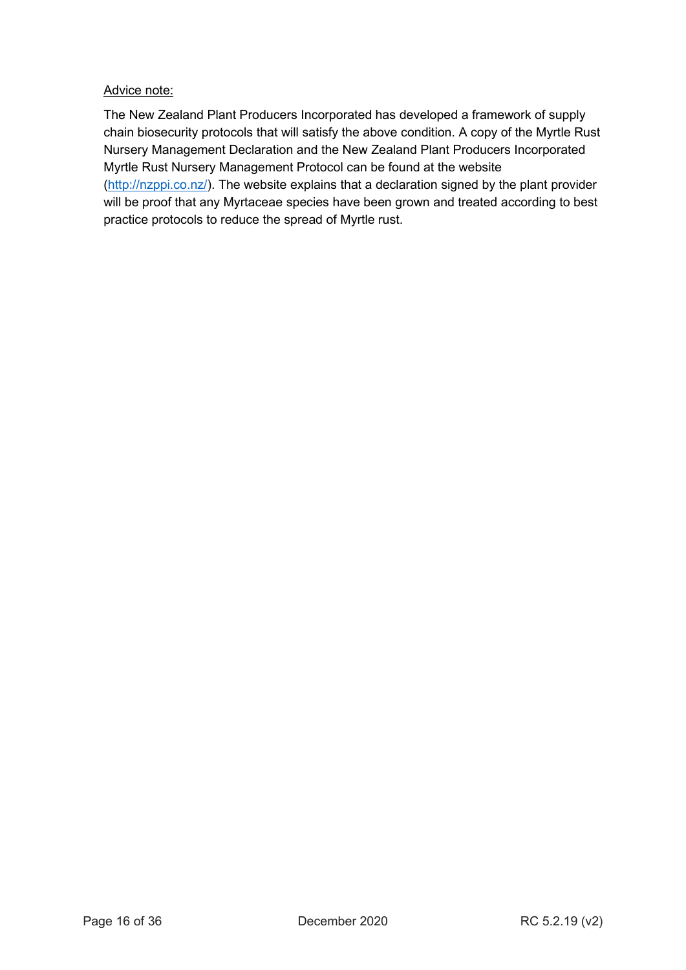## Advice note:

The New Zealand Plant Producers Incorporated has developed a framework of supply chain biosecurity protocols that will satisfy the above condition. A copy of the Myrtle Rust Nursery Management Declaration and the New Zealand Plant Producers Incorporated Myrtle Rust Nursery Management Protocol can be found at the website [\(http://nzppi.co.nz/\)](http://nzppi.co.nz/). The website explains that a declaration signed by the plant provider will be proof that any Myrtaceae species have been grown and treated according to best practice protocols to reduce the spread of Myrtle rust.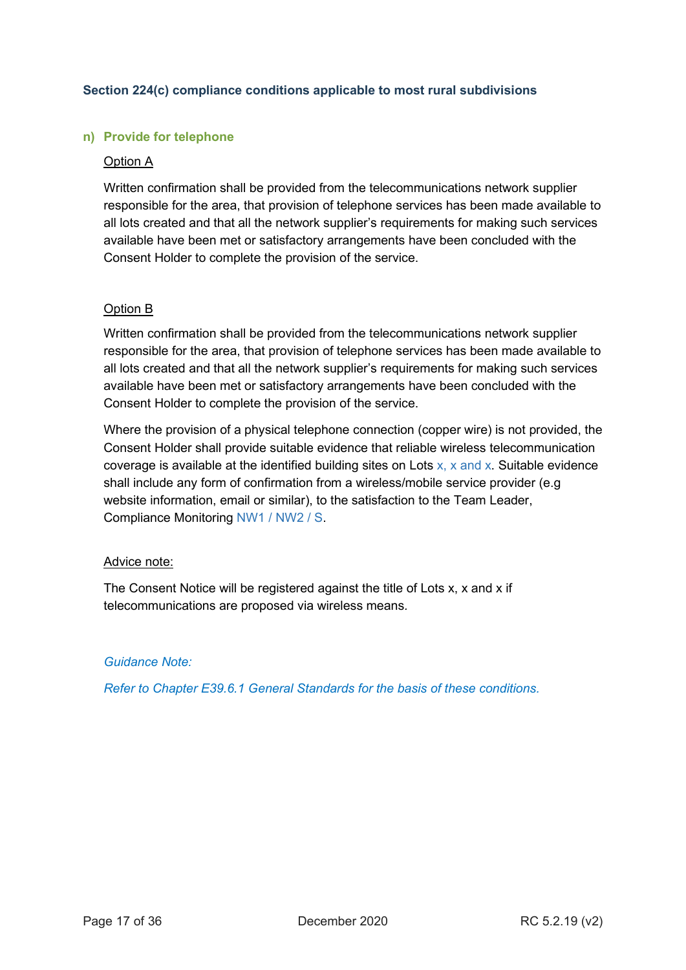## <span id="page-16-0"></span>**Section 224(c) compliance conditions applicable to most rural subdivisions**

#### <span id="page-16-1"></span>**n) Provide for telephone**

#### Option A

Written confirmation shall be provided from the telecommunications network supplier responsible for the area, that provision of telephone services has been made available to all lots created and that all the network supplier's requirements for making such services available have been met or satisfactory arrangements have been concluded with the Consent Holder to complete the provision of the service.

#### Option B

Written confirmation shall be provided from the telecommunications network supplier responsible for the area, that provision of telephone services has been made available to all lots created and that all the network supplier's requirements for making such services available have been met or satisfactory arrangements have been concluded with the Consent Holder to complete the provision of the service.

Where the provision of a physical telephone connection (copper wire) is not provided, the Consent Holder shall provide suitable evidence that reliable wireless telecommunication coverage is available at the identified building sites on Lots  $x$ ,  $x$  and  $x$ . Suitable evidence shall include any form of confirmation from a wireless/mobile service provider (e.g website information, email or similar), to the satisfaction to the Team Leader, Compliance Monitoring NW1 / NW2 / S.

#### Advice note:

The Consent Notice will be registered against the title of Lots x, x and x if telecommunications are proposed via wireless means*.* 

#### *Guidance Note:*

*Refer to Chapter E39.6.1 General Standards for the basis of these conditions.*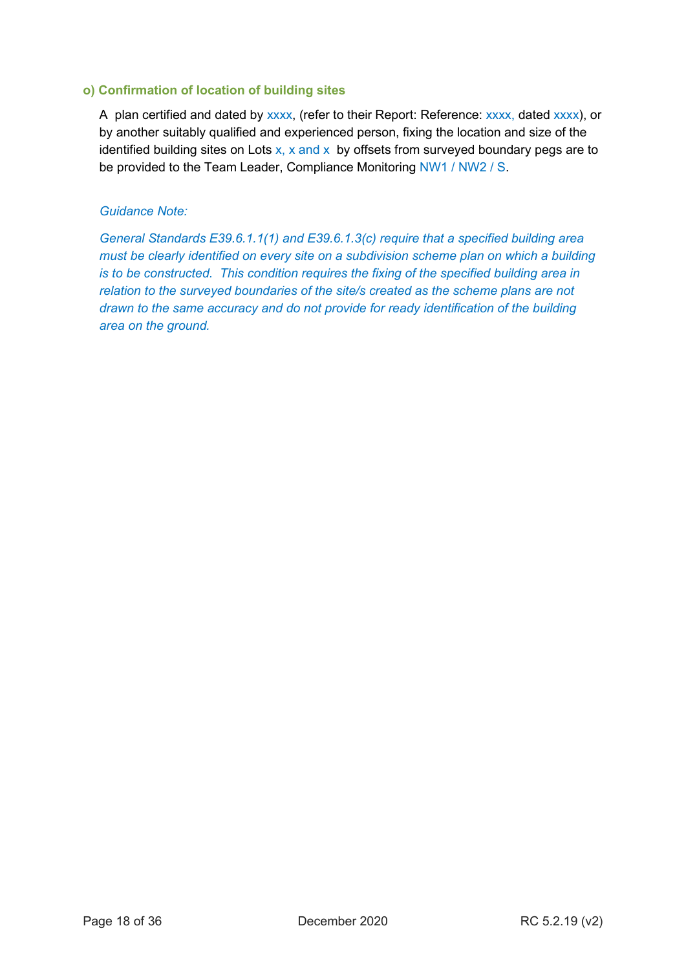#### <span id="page-17-0"></span>**o) Confirmation of location of building sites**

A plan certified and dated by xxxx, (refer to their Report: Reference: xxxx, dated xxxx), or by another suitably qualified and experienced person, fixing the location and size of the identified building sites on Lots  $x$ , x and x by offsets from surveyed boundary pegs are to be provided to the Team Leader, Compliance Monitoring NW1 / NW2 / S.

## *Guidance Note:*

*General Standards E39.6.1.1(1) and E39.6.1.3(c) require that a specified building area must be clearly identified on every site on a subdivision scheme plan on which a building is to be constructed. This condition requires the fixing of the specified building area in relation to the surveyed boundaries of the site/s created as the scheme plans are not drawn to the same accuracy and do not provide for ready identification of the building area on the ground.*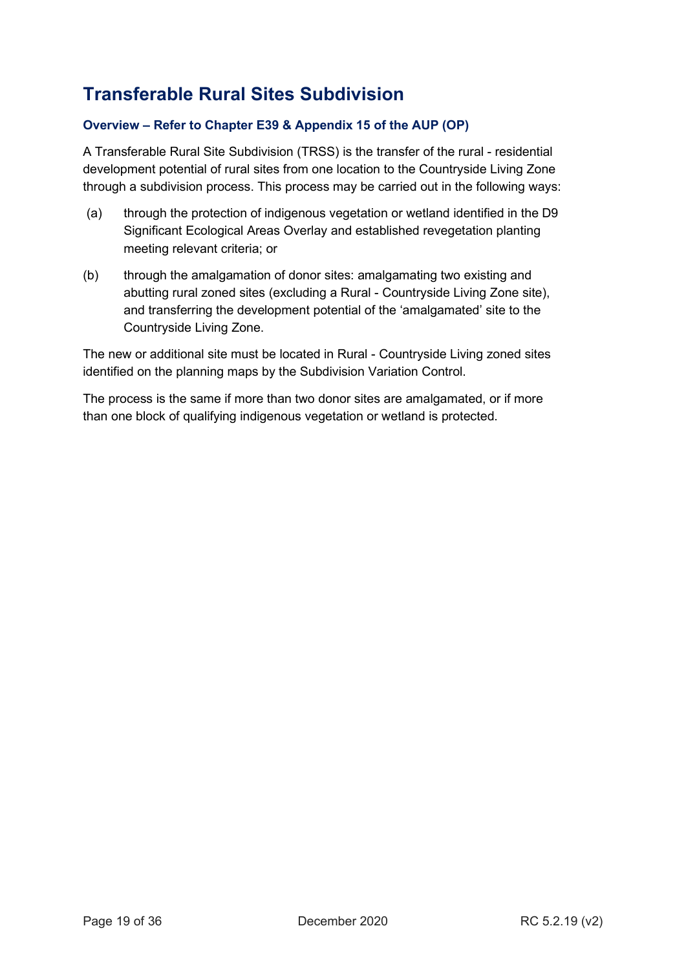## **Transferable Rural Sites Subdivision**

## **Overview – Refer to Chapter E39 & Appendix 15 of the AUP (OP)**

A Transferable Rural Site Subdivision (TRSS) is the transfer of the rural - residential development potential of rural sites from one location to the Countryside Living Zone through a subdivision process. This process may be carried out in the following ways:

- (a) through the protection of indigenous vegetation or wetland identified in the D9 Significant Ecological Areas Overlay and established revegetation planting meeting relevant criteria; or
- (b) through the amalgamation of donor sites: amalgamating two existing and abutting rural zoned sites (excluding a Rural - Countryside Living Zone site), and transferring the development potential of the 'amalgamated' site to the Countryside Living Zone.

The new or additional site must be located in Rural - Countryside Living zoned sites identified on the planning maps by the Subdivision Variation Control.

The process is the same if more than two donor sites are amalgamated, or if more than one block of qualifying indigenous vegetation or wetland is protected.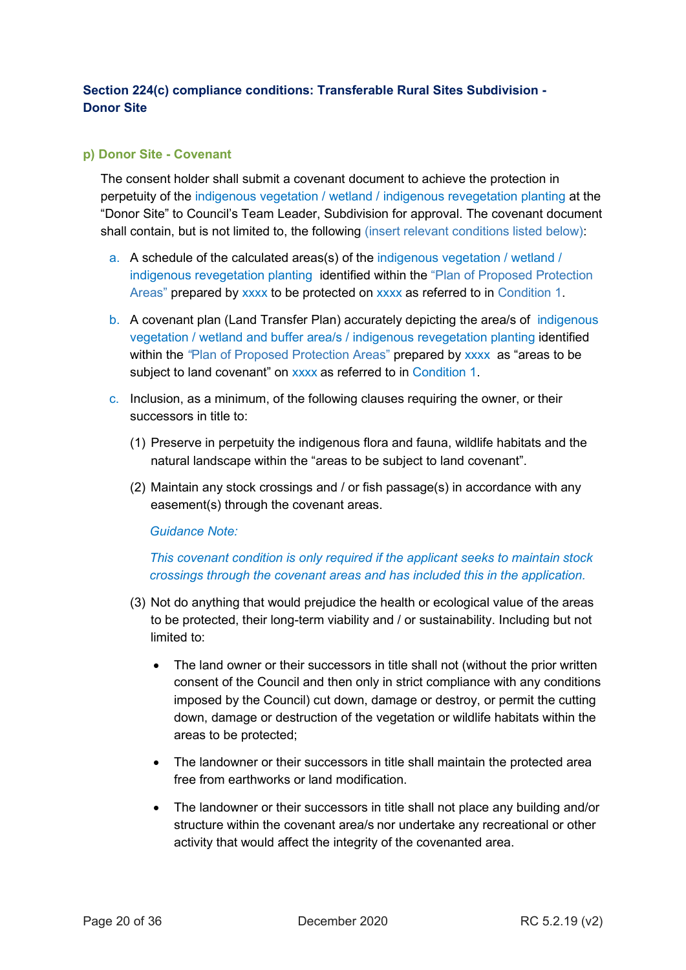## <span id="page-19-0"></span>**Section 224(c) compliance conditions: Transferable Rural Sites Subdivision - Donor Site**

## <span id="page-19-1"></span>**p) Donor Site - Covenant**

The consent holder shall submit a covenant document to achieve the protection in perpetuity of the indigenous vegetation / wetland / indigenous revegetation planting at the "Donor Site" to Council's Team Leader, Subdivision for approval. The covenant document shall contain, but is not limited to, the following (insert relevant conditions listed below):

- a. A schedule of the calculated areas(s) of the indigenous vegetation / wetland / indigenous revegetation planting identified within the "Plan of Proposed Protection Areas" prepared by xxxx to be protected on xxxx as referred to in Condition 1.
- b. A covenant plan (Land Transfer Plan) accurately depicting the area/s of indigenous vegetation / wetland and buffer area/s / indigenous revegetation planting identified within the *"*Plan of Proposed Protection Areas" prepared by xxxx as "areas to be subject to land covenant" on xxxx as referred to in Condition 1.
- c. Inclusion, as a minimum, of the following clauses requiring the owner, or their successors in title to:
	- (1) Preserve in perpetuity the indigenous flora and fauna, wildlife habitats and the natural landscape within the "areas to be subject to land covenant".
	- (2) Maintain any stock crossings and / or fish passage(s) in accordance with any easement(s) through the covenant areas.

*Guidance Note:*

## *This covenant condition is only required if the applicant seeks to maintain stock crossings through the covenant areas and has included this in the application.*

- (3) Not do anything that would prejudice the health or ecological value of the areas to be protected, their long-term viability and / or sustainability. Including but not limited to:
	- The land owner or their successors in title shall not (without the prior written consent of the Council and then only in strict compliance with any conditions imposed by the Council) cut down, damage or destroy, or permit the cutting down, damage or destruction of the vegetation or wildlife habitats within the areas to be protected;
	- The landowner or their successors in title shall maintain the protected area free from earthworks or land modification.
	- The landowner or their successors in title shall not place any building and/or structure within the covenant area/s nor undertake any recreational or other activity that would affect the integrity of the covenanted area.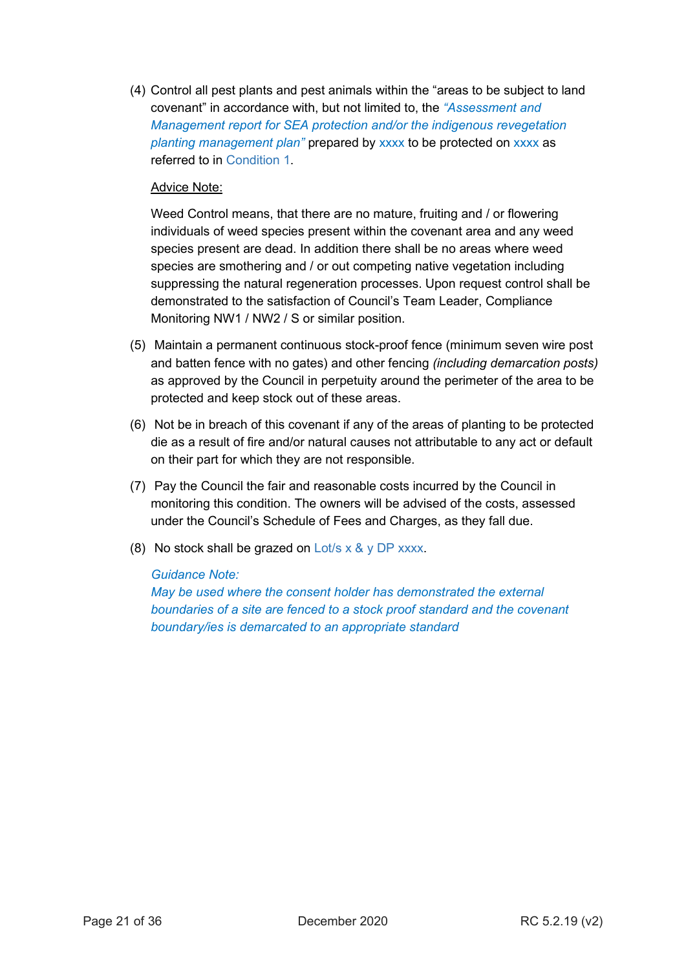(4) Control all pest plants and pest animals within the "areas to be subject to land covenant" in accordance with, but not limited to, the *"Assessment and Management report for SEA protection and/or the indigenous revegetation planting management plan"* prepared by xxxx to be protected on xxxx as referred to in Condition 1.

## Advice Note:

Weed Control means, that there are no mature, fruiting and / or flowering individuals of weed species present within the covenant area and any weed species present are dead. In addition there shall be no areas where weed species are smothering and / or out competing native vegetation including suppressing the natural regeneration processes. Upon request control shall be demonstrated to the satisfaction of Council's Team Leader, Compliance Monitoring NW1 / NW2 / S or similar position.

- (5) Maintain a permanent continuous stock-proof fence (minimum seven wire post and batten fence with no gates) and other fencing *(including demarcation posts)* as approved by the Council in perpetuity around the perimeter of the area to be protected and keep stock out of these areas.
- (6) Not be in breach of this covenant if any of the areas of planting to be protected die as a result of fire and/or natural causes not attributable to any act or default on their part for which they are not responsible.
- (7) Pay the Council the fair and reasonable costs incurred by the Council in monitoring this condition. The owners will be advised of the costs, assessed under the Council's Schedule of Fees and Charges, as they fall due.
- (8) No stock shall be grazed on Lot/s  $\times$  &  $\vee$  DP xxxx.

## *Guidance Note:*

*May be used where the consent holder has demonstrated the external boundaries of a site are fenced to a stock proof standard and the covenant boundary/ies is demarcated to an appropriate standard*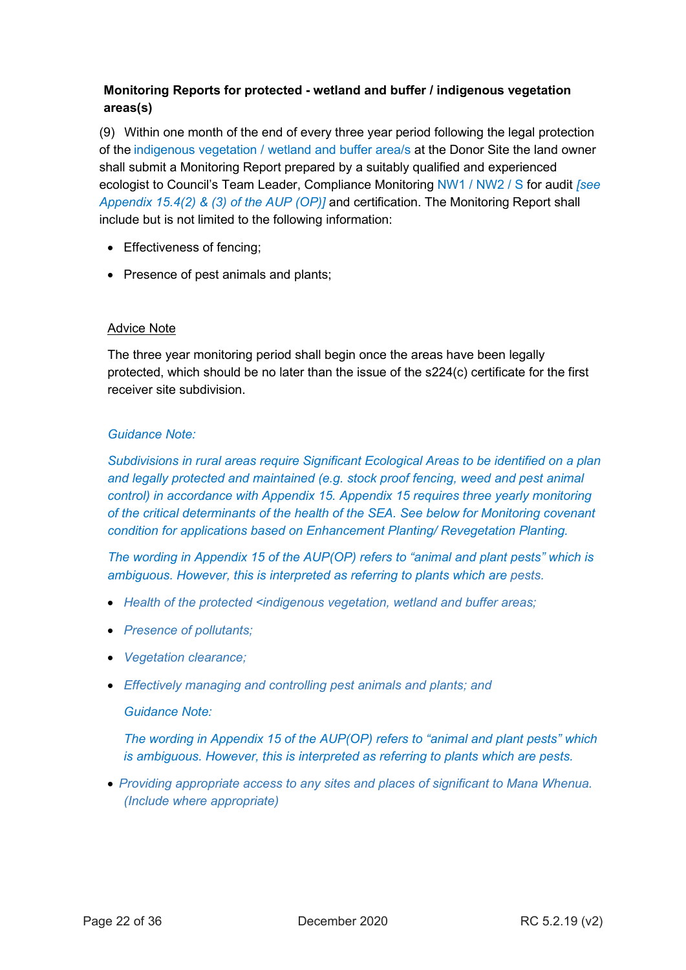## **Monitoring Reports for protected - wetland and buffer / indigenous vegetation areas(s)**

(9) Within one month of the end of every three year period following the legal protection of the indigenous vegetation / wetland and buffer area/s at the Donor Site the land owner shall submit a Monitoring Report prepared by a suitably qualified and experienced ecologist to Council's Team Leader, Compliance Monitoring NW1 / NW2 / S for audit *[see Appendix 15.4(2) & (3) of the AUP (OP)]* and certification. The Monitoring Report shall include but is not limited to the following information:

- Effectiveness of fencing;
- Presence of pest animals and plants;

## Advice Note

The three year monitoring period shall begin once the areas have been legally protected, which should be no later than the issue of the s224(c) certificate for the first receiver site subdivision.

## *Guidance Note:*

*Subdivisions in rural areas require Significant Ecological Areas to be identified on a plan and legally protected and maintained (e.g. stock proof fencing, weed and pest animal control) in accordance with Appendix 15. Appendix 15 requires three yearly monitoring of the critical determinants of the health of the SEA. See below for Monitoring covenant condition for applications based on Enhancement Planting/ Revegetation Planting.*

*The wording in Appendix 15 of the AUP(OP) refers to "animal and plant pests" which is ambiguous. However, this is interpreted as referring to plants which are pests.* 

- *Health of the protected <indigenous vegetation, wetland and buffer areas;*
- *Presence of pollutants;*
- *Vegetation clearance;*
- *Effectively managing and controlling pest animals and plants; and*

## *Guidance Note:*

*The wording in Appendix 15 of the AUP(OP) refers to "animal and plant pests" which is ambiguous. However, this is interpreted as referring to plants which are pests.*

• *Providing appropriate access to any sites and places of significant to Mana Whenua. (Include where appropriate)*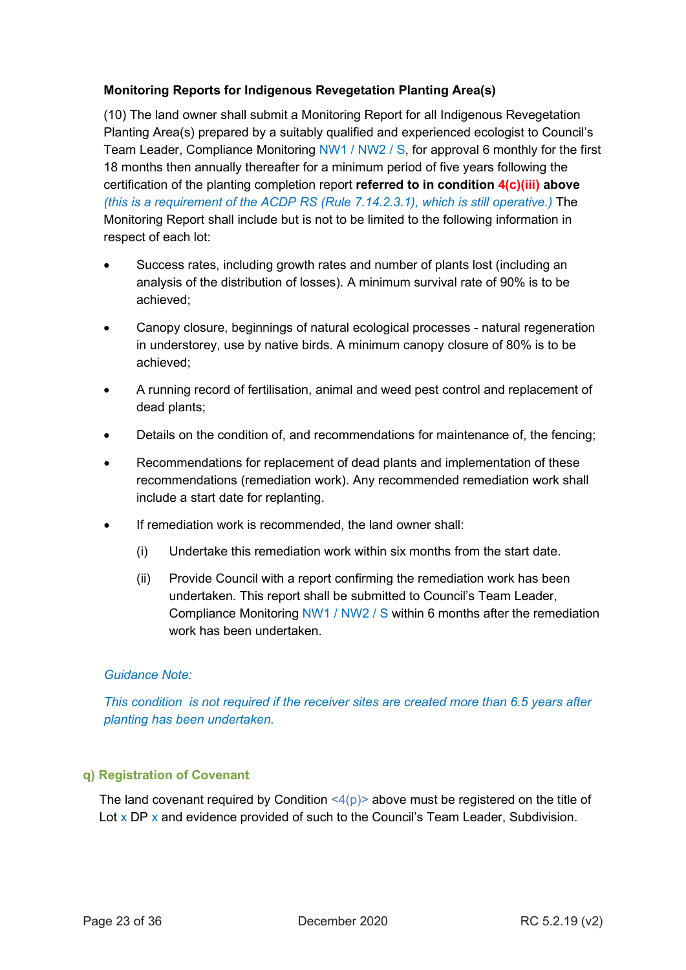## **Monitoring Reports for Indigenous Revegetation Planting Area(s)**

(10) The land owner shall submit a Monitoring Report for all Indigenous Revegetation Planting Area(s) prepared by a suitably qualified and experienced ecologist to Council's Team Leader, Compliance Monitoring NW1 / NW2 / S, for approval 6 monthly for the first 18 months then annually thereafter for a minimum period of five years following the certification of the planting completion report **referred to in condition 4(c)(iii) above** *(this is a requirement of the ACDP RS (Rule 7.14.2.3.1), which is still operative.)* The Monitoring Report shall include but is not to be limited to the following information in respect of each lot:

- Success rates, including growth rates and number of plants lost (including an analysis of the distribution of losses). A minimum survival rate of 90% is to be achieved;
- Canopy closure, beginnings of natural ecological processes natural regeneration in understorey, use by native birds. A minimum canopy closure of 80% is to be achieved;
- A running record of fertilisation, animal and weed pest control and replacement of dead plants;
- Details on the condition of, and recommendations for maintenance of, the fencing;
- Recommendations for replacement of dead plants and implementation of these recommendations (remediation work). Any recommended remediation work shall include a start date for replanting.
- If remediation work is recommended, the land owner shall:
	- (i) Undertake this remediation work within six months from the start date.
	- (ii) Provide Council with a report confirming the remediation work has been undertaken. This report shall be submitted to Council's Team Leader, Compliance Monitoring NW1 / NW2 / S within 6 months after the remediation work has been undertaken.

## *Guidance Note:*

*This condition is not required if the receiver sites are created more than 6.5 years after planting has been undertaken.*

## <span id="page-22-0"></span>**q) Registration of Covenant**

The land covenant required by Condition  $\langle 4(p) \rangle$  above must be registered on the title of Lot  $x$  DP  $x$  and evidence provided of such to the Council's Team Leader, Subdivision.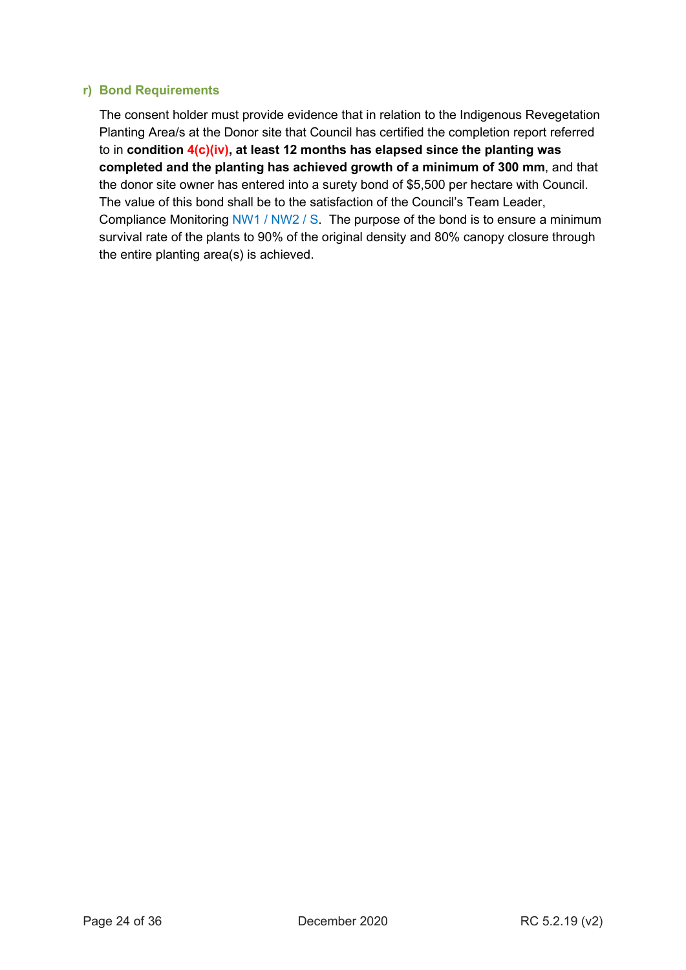#### <span id="page-23-0"></span>**r) Bond Requirements**

The consent holder must provide evidence that in relation to the Indigenous Revegetation Planting Area/s at the Donor site that Council has certified the completion report referred to in **condition 4(c)(iv), at least 12 months has elapsed since the planting was completed and the planting has achieved growth of a minimum of 300 mm**, and that the donor site owner has entered into a surety bond of \$5,500 per hectare with Council. The value of this bond shall be to the satisfaction of the Council's Team Leader, Compliance Monitoring NW1 / NW2 / S. The purpose of the bond is to ensure a minimum survival rate of the plants to 90% of the original density and 80% canopy closure through the entire planting area(s) is achieved.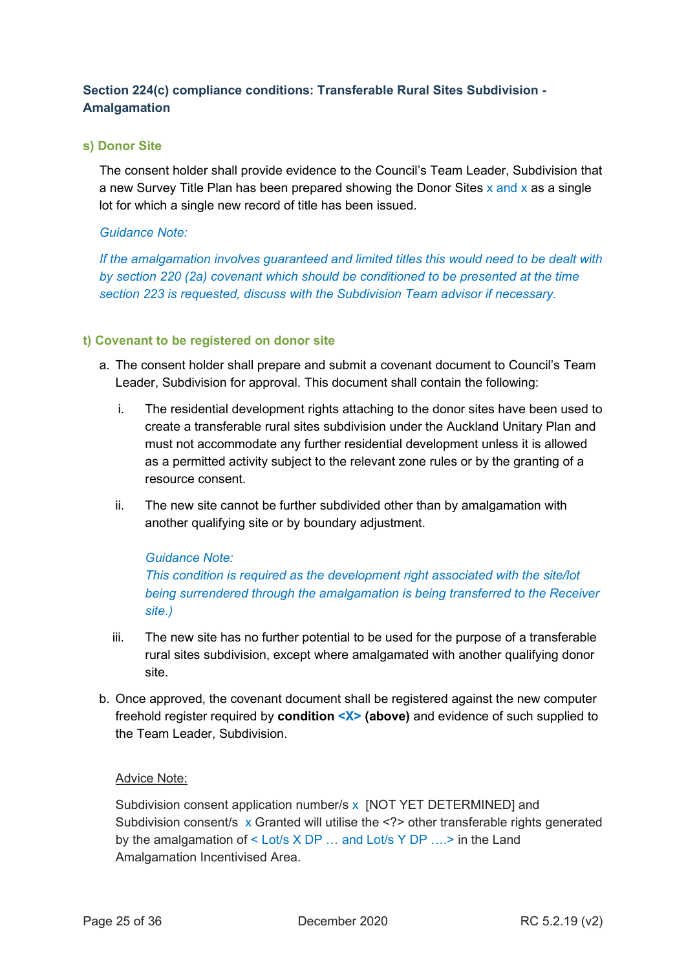## <span id="page-24-0"></span>**Section 224(c) compliance conditions: Transferable Rural Sites Subdivision - Amalgamation**

## <span id="page-24-1"></span>**s) Donor Site**

The consent holder shall provide evidence to the Council's Team Leader, Subdivision that a new Survey Title Plan has been prepared showing the Donor Sites  $x$  and  $x$  as a single lot for which a single new record of title has been issued.

## *Guidance Note:*

*If the amalgamation involves guaranteed and limited titles this would need to be dealt with by section 220 (2a) covenant which should be conditioned to be presented at the time section 223 is requested, discuss with the Subdivision Team advisor if necessary.*

## <span id="page-24-2"></span>**t) Covenant to be registered on donor site**

- a. The consent holder shall prepare and submit a covenant document to Council's Team Leader, Subdivision for approval. This document shall contain the following:
	- i. The residential development rights attaching to the donor sites have been used to create a transferable rural sites subdivision under the Auckland Unitary Plan and must not accommodate any further residential development unless it is allowed as a permitted activity subject to the relevant zone rules or by the granting of a resource consent.
	- ii. The new site cannot be further subdivided other than by amalgamation with another qualifying site or by boundary adjustment.

## *Guidance Note:*

*This condition is required as the development right associated with the site/lot being surrendered through the amalgamation is being transferred to the Receiver site.)*

- iii. The new site has no further potential to be used for the purpose of a transferable rural sites subdivision, except where amalgamated with another qualifying donor site.
- b. Once approved, the covenant document shall be registered against the new computer freehold register required by **condition <X> (above)** and evidence of such supplied to the Team Leader, Subdivision.

## Advice Note:

Subdivision consent application number/s x [NOT YET DETERMINED] and Subdivision consent/s x Granted will utilise the <?> other transferable rights generated by the amalgamation of < Lot/s X DP … and Lot/s Y DP ….> in the Land Amalgamation Incentivised Area.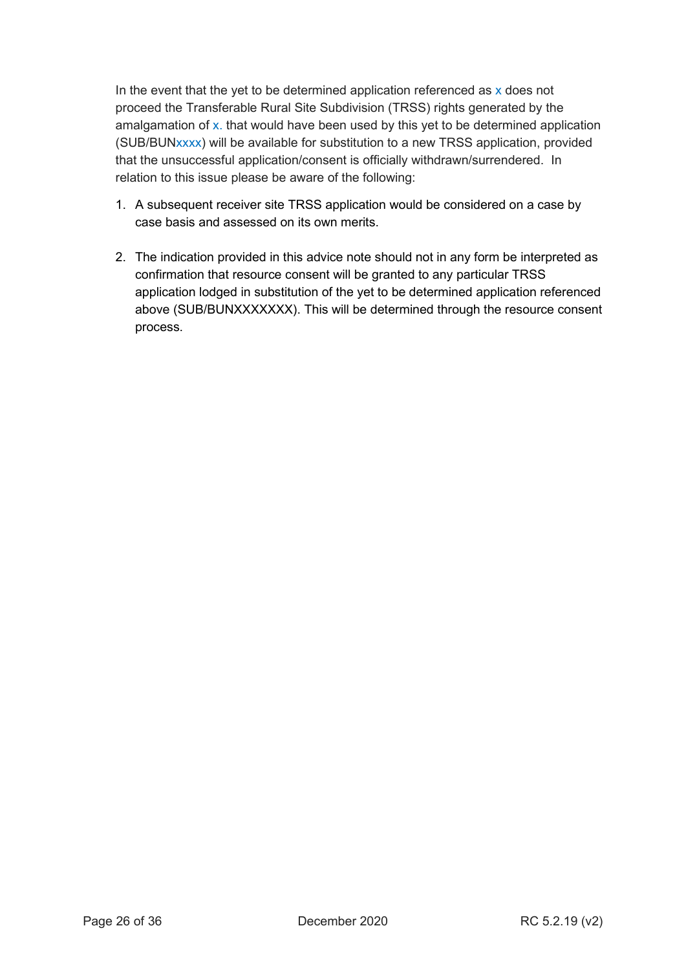In the event that the yet to be determined application referenced as  $x$  does not proceed the Transferable Rural Site Subdivision (TRSS) rights generated by the amalgamation of x. that would have been used by this yet to be determined application (SUB/BUNxxxx) will be available for substitution to a new TRSS application, provided that the unsuccessful application/consent is officially withdrawn/surrendered. In relation to this issue please be aware of the following:

- 1. A subsequent receiver site TRSS application would be considered on a case by case basis and assessed on its own merits.
- 2. The indication provided in this advice note should not in any form be interpreted as confirmation that resource consent will be granted to any particular TRSS application lodged in substitution of the yet to be determined application referenced above (SUB/BUNXXXXXXX). This will be determined through the resource consent process.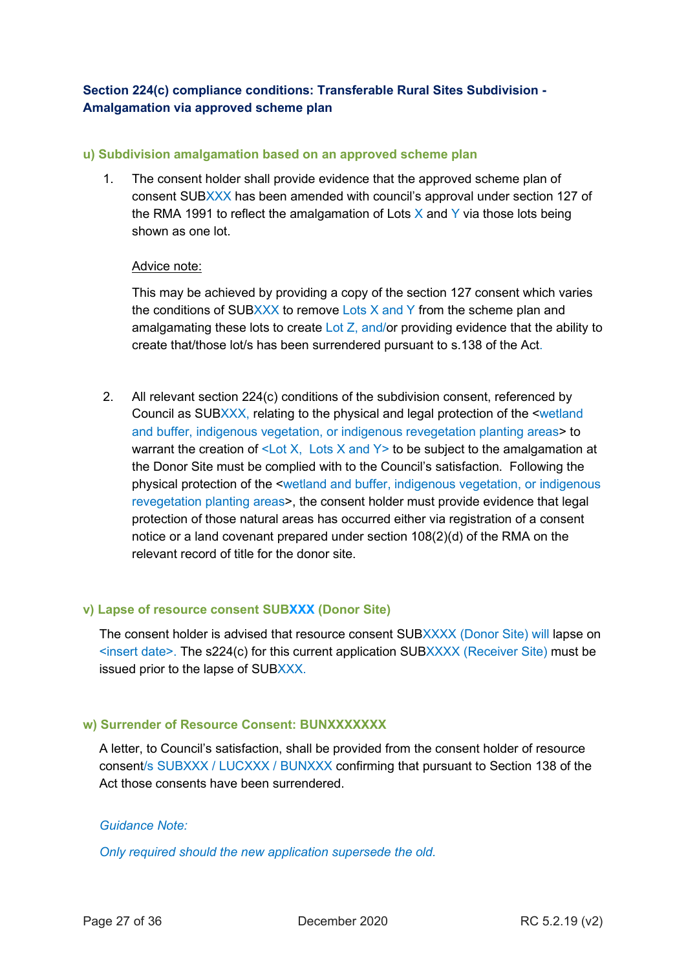## <span id="page-26-0"></span>**Section 224(c) compliance conditions: Transferable Rural Sites Subdivision - Amalgamation via approved scheme plan**

#### <span id="page-26-1"></span>**u) Subdivision amalgamation based on an approved scheme plan**

1. The consent holder shall provide evidence that the approved scheme plan of consent SUBXXX has been amended with council's approval under section 127 of the RMA 1991 to reflect the amalgamation of Lots  $X$  and  $Y$  via those lots being shown as one lot.

#### Advice note:

This may be achieved by providing a copy of the section 127 consent which varies the conditions of SUBXXX to remove Lots X and Y from the scheme plan and amalgamating these lots to create Lot Z, and/or providing evidence that the ability to create that/those lot/s has been surrendered pursuant to s.138 of the Act.

2. All relevant section 224(c) conditions of the subdivision consent, referenced by Council as SUBXXX, relating to the physical and legal protection of the <wetland and buffer, indigenous vegetation, or indigenous revegetation planting areas> to warrant the creation of  $\leq$  Lot X, Lots X and Y  $>$  to be subject to the amalgamation at the Donor Site must be complied with to the Council's satisfaction. Following the physical protection of the <wetland and buffer, indigenous vegetation, or indigenous revegetation planting areas>, the consent holder must provide evidence that legal protection of those natural areas has occurred either via registration of a consent notice or a land covenant prepared under section 108(2)(d) of the RMA on the relevant record of title for the donor site.

## <span id="page-26-2"></span>**v) Lapse of resource consent SUBXXX (Donor Site)**

The consent holder is advised that resource consent SUBXXXX (Donor Site) will lapse on  $\le$ insert date>. The s224(c) for this current application SUBXXXX (Receiver Site) must be issued prior to the lapse of SUBXXX.

## <span id="page-26-3"></span>**w) Surrender of Resource Consent: BUNXXXXXXX**

A letter, to Council's satisfaction, shall be provided from the consent holder of resource consent/s SUBXXX / LUCXXX / BUNXXX confirming that pursuant to Section 138 of the Act those consents have been surrendered.

## *Guidance Note:*

*Only required should the new application supersede the old.*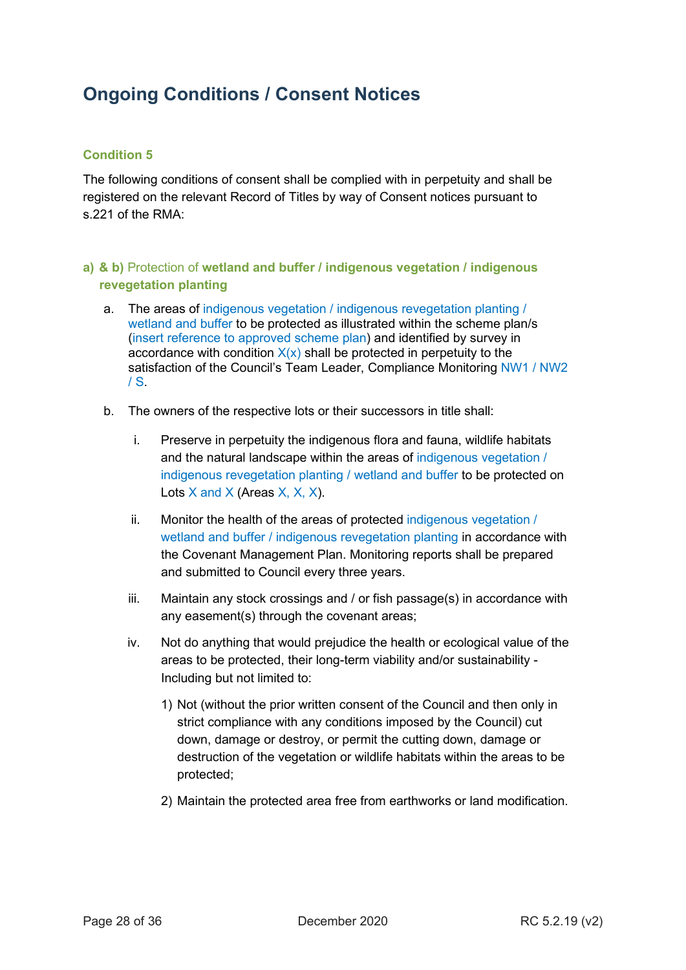## <span id="page-27-0"></span>**Ongoing Conditions / Consent Notices**

## <span id="page-27-1"></span>**Condition 5**

The following conditions of consent shall be complied with in perpetuity and shall be registered on the relevant Record of Titles by way of Consent notices pursuant to s.221 of the RMA:

## <span id="page-27-2"></span>**a) & b)** Protection of **wetland and buffer / indigenous vegetation / indigenous revegetation planting**

- a. The areas of indigenous vegetation / indigenous revegetation planting / wetland and buffer to be protected as illustrated within the scheme plan/s (insert reference to approved scheme plan) and identified by survey in accordance with condition  $X(x)$  shall be protected in perpetuity to the satisfaction of the Council's Team Leader, Compliance Monitoring NW1 / NW2  $/S<sub>r</sub>$
- b. The owners of the respective lots or their successors in title shall:
	- i. Preserve in perpetuity the indigenous flora and fauna, wildlife habitats and the natural landscape within the areas of indigenous vegetation / indigenous revegetation planting / wetland and buffer to be protected on Lots  $X$  and  $X$  (Areas  $X$ ,  $X$ ,  $X$ ).
	- ii. Monitor the health of the areas of protected indigenous vegetation / wetland and buffer / indigenous revegetation planting in accordance with the Covenant Management Plan. Monitoring reports shall be prepared and submitted to Council every three years.
	- iii. Maintain any stock crossings and / or fish passage(s) in accordance with any easement(s) through the covenant areas;
	- iv. Not do anything that would prejudice the health or ecological value of the areas to be protected, their long-term viability and/or sustainability - Including but not limited to:
		- 1) Not (without the prior written consent of the Council and then only in strict compliance with any conditions imposed by the Council) cut down, damage or destroy, or permit the cutting down, damage or destruction of the vegetation or wildlife habitats within the areas to be protected;
		- 2) Maintain the protected area free from earthworks or land modification.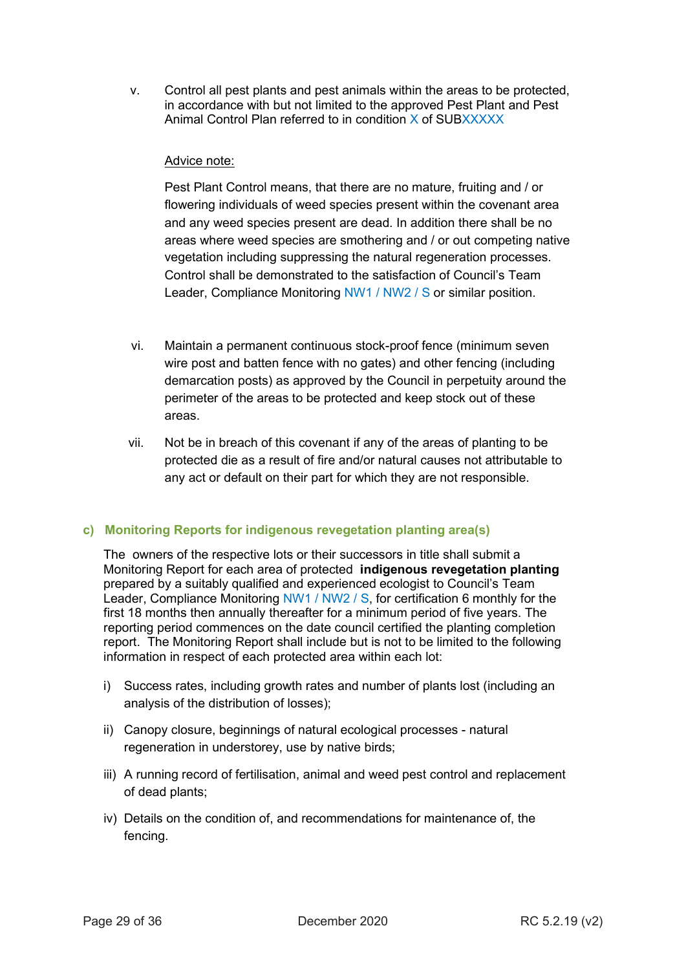v. Control all pest plants and pest animals within the areas to be protected, in accordance with but not limited to the approved Pest Plant and Pest Animal Control Plan referred to in condition X of SUBXXXXX

## Advice note:

Pest Plant Control means, that there are no mature, fruiting and / or flowering individuals of weed species present within the covenant area and any weed species present are dead. In addition there shall be no areas where weed species are smothering and / or out competing native vegetation including suppressing the natural regeneration processes. Control shall be demonstrated to the satisfaction of Council's Team Leader, Compliance Monitoring NW1 / NW2 / S or similar position.

- vi. Maintain a permanent continuous stock-proof fence (minimum seven wire post and batten fence with no gates) and other fencing (including demarcation posts) as approved by the Council in perpetuity around the perimeter of the areas to be protected and keep stock out of these areas.
- vii. Not be in breach of this covenant if any of the areas of planting to be protected die as a result of fire and/or natural causes not attributable to any act or default on their part for which they are not responsible.

## <span id="page-28-0"></span>**c) Monitoring Reports for indigenous revegetation planting area(s)**

The owners of the respective lots or their successors in title shall submit a Monitoring Report for each area of protected **indigenous revegetation planting** prepared by a suitably qualified and experienced ecologist to Council's Team Leader, Compliance Monitoring NW1 / NW2 / S, for certification 6 monthly for the first 18 months then annually thereafter for a minimum period of five years. The reporting period commences on the date council certified the planting completion report. The Monitoring Report shall include but is not to be limited to the following information in respect of each protected area within each lot:

- i) Success rates, including growth rates and number of plants lost (including an analysis of the distribution of losses);
- ii) Canopy closure, beginnings of natural ecological processes natural regeneration in understorey, use by native birds;
- iii) A running record of fertilisation, animal and weed pest control and replacement of dead plants;
- iv) Details on the condition of, and recommendations for maintenance of, the fencing.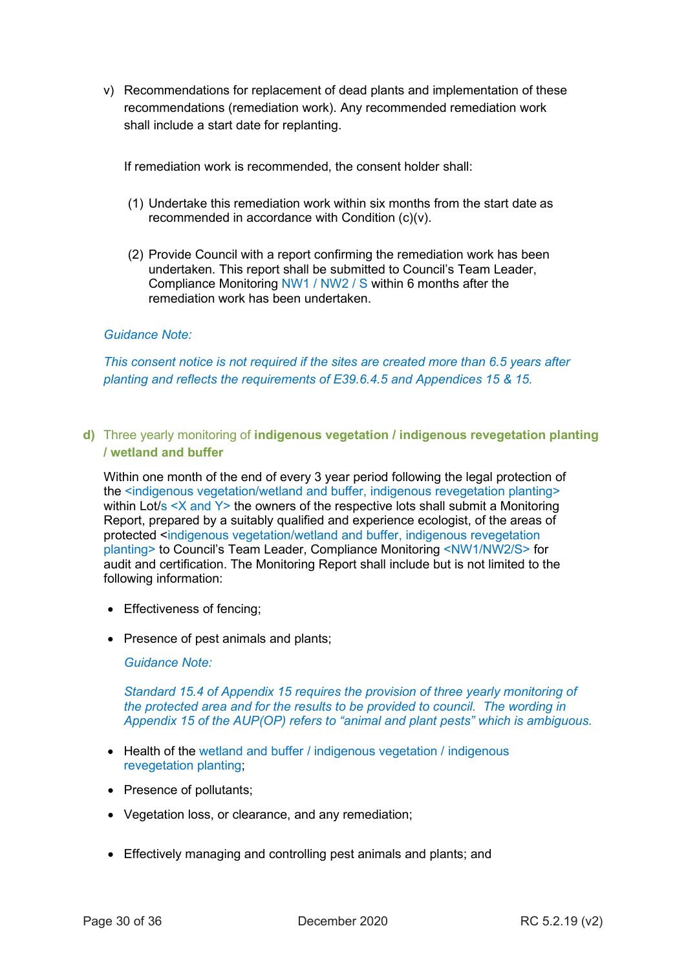v) Recommendations for replacement of dead plants and implementation of these recommendations (remediation work). Any recommended remediation work shall include a start date for replanting.

If remediation work is recommended, the consent holder shall:

- (1) Undertake this remediation work within six months from the start date as recommended in accordance with Condition (c)(v).
- (2) Provide Council with a report confirming the remediation work has been undertaken. This report shall be submitted to Council's Team Leader, Compliance Monitoring NW1 / NW2 / S within 6 months after the remediation work has been undertaken.

## *Guidance Note:*

*This consent notice is not required if the sites are created more than 6.5 years after planting and reflects the requirements of E39.6.4.5 and Appendices 15 & 15.* 

<span id="page-29-0"></span>**d)** Three yearly monitoring of **indigenous vegetation / indigenous revegetation planting / wetland and buffer**

Within one month of the end of every 3 year period following the legal protection of the <indigenous vegetation/wetland and buffer, indigenous revegetation planting> within Lot/s <X and Y> the owners of the respective lots shall submit a Monitoring Report, prepared by a suitably qualified and experience ecologist, of the areas of protected <indigenous vegetation/wetland and buffer, indigenous revegetation planting> to Council's Team Leader, Compliance Monitoring <NW1/NW2/S> for audit and certification. The Monitoring Report shall include but is not limited to the following information:

- Effectiveness of fencing;
- Presence of pest animals and plants;

*Guidance Note:*

*Standard 15.4 of Appendix 15 requires the provision of three yearly monitoring of the protected area and for the results to be provided to council. The wording in Appendix 15 of the AUP(OP) refers to "animal and plant pests" which is ambiguous.*

- Health of the wetland and buffer / indigenous vegetation / indigenous revegetation planting;
- Presence of pollutants;
- Vegetation loss, or clearance, and any remediation;
- Effectively managing and controlling pest animals and plants; and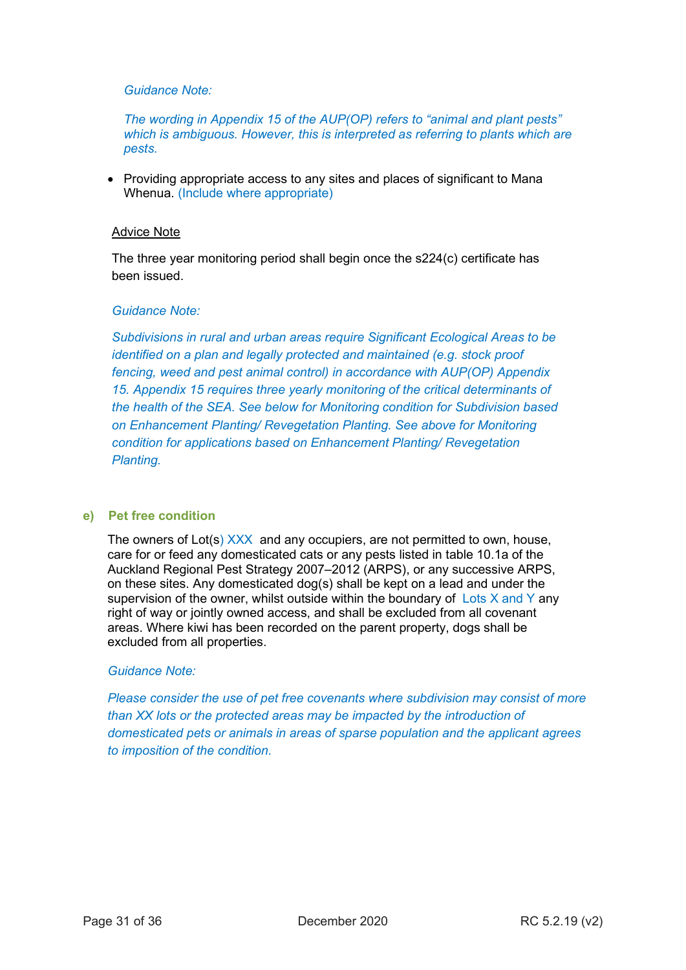*The wording in Appendix 15 of the AUP(OP) refers to "animal and plant pests" which is ambiguous. However, this is interpreted as referring to plants which are pests.*

• Providing appropriate access to any sites and places of significant to Mana Whenua. (Include where appropriate)

#### Advice Note

The three year monitoring period shall begin once the s224(c) certificate has been issued.

#### *Guidance Note:*

*Subdivisions in rural and urban areas require Significant Ecological Areas to be identified on a plan and legally protected and maintained (e.g. stock proof fencing, weed and pest animal control) in accordance with AUP(OP) Appendix 15. Appendix 15 requires three yearly monitoring of the critical determinants of the health of the SEA. See below for Monitoring condition for Subdivision based on Enhancement Planting/ Revegetation Planting. See above for Monitoring condition for applications based on Enhancement Planting/ Revegetation Planting.*

#### <span id="page-30-0"></span>**e) Pet free condition**

The owners of Lot(s)  $XXX$  and any occupiers, are not permitted to own, house, care for or feed any domesticated cats or any pests listed in table 10.1a of the Auckland Regional Pest Strategy 2007–2012 (ARPS), or any successive ARPS, on these sites. Any domesticated dog(s) shall be kept on a lead and under the supervision of the owner, whilst outside within the boundary of Lots X and Y any right of way or jointly owned access, and shall be excluded from all covenant areas. Where kiwi has been recorded on the parent property, dogs shall be excluded from all properties.

#### *Guidance Note:*

*Please consider the use of pet free covenants where subdivision may consist of more than XX lots or the protected areas may be impacted by the introduction of domesticated pets or animals in areas of sparse population and the applicant agrees to imposition of the condition.*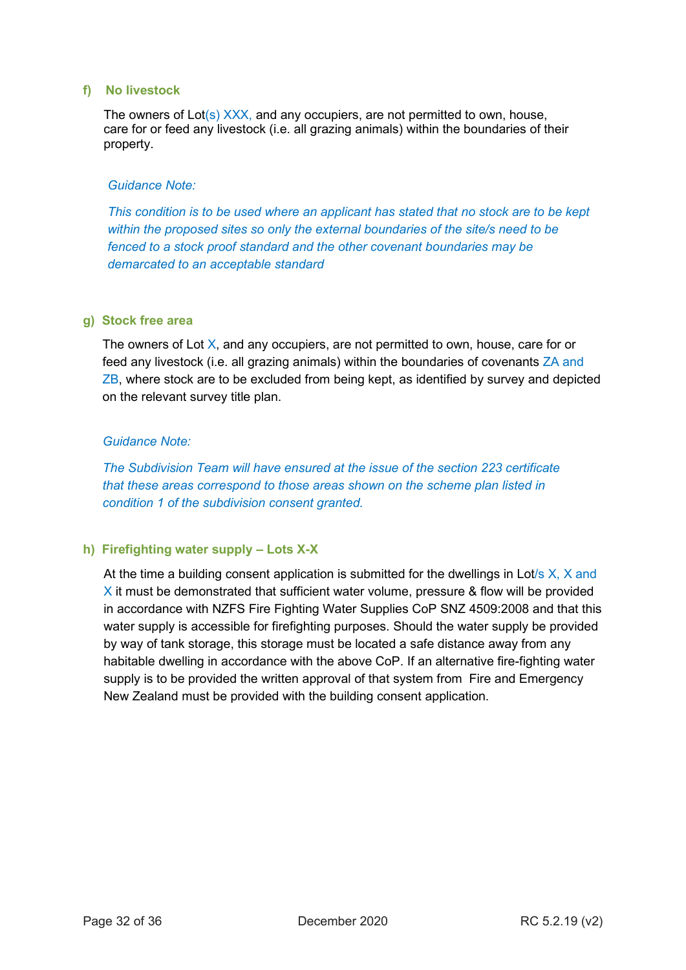#### <span id="page-31-0"></span>**f) No livestock**

The owners of  $Lot(s)$   $XXX$ , and any occupiers, are not permitted to own, house, care for or feed any livestock (i.e. all grazing animals) within the boundaries of their property.

#### *Guidance Note:*

*This condition is to be used where an applicant has stated that no stock are to be kept within the proposed sites so only the external boundaries of the site/s need to be fenced to a stock proof standard and the other covenant boundaries may be demarcated to an acceptable standard*

#### <span id="page-31-1"></span>**g) Stock free area**

The owners of Lot X, and any occupiers, are not permitted to own, house, care for or feed any livestock (i.e. all grazing animals) within the boundaries of covenants ZA and ZB, where stock are to be excluded from being kept, as identified by survey and depicted on the relevant survey title plan.

#### *Guidance Note:*

*The Subdivision Team will have ensured at the issue of the section 223 certificate that these areas correspond to those areas shown on the scheme plan listed in condition 1 of the subdivision consent granted.*

## <span id="page-31-2"></span>**h) Firefighting water supply – Lots X-X**

At the time a building consent application is submitted for the dwellings in Lot/s  $X$ ,  $X$  and  $\times$  it must be demonstrated that sufficient water volume, pressure & flow will be provided in accordance with NZFS Fire Fighting Water Supplies CoP SNZ 4509:2008 and that this water supply is accessible for firefighting purposes. Should the water supply be provided by way of tank storage, this storage must be located a safe distance away from any habitable dwelling in accordance with the above CoP. If an alternative fire-fighting water supply is to be provided the written approval of that system from Fire and Emergency New Zealand must be provided with the building consent application.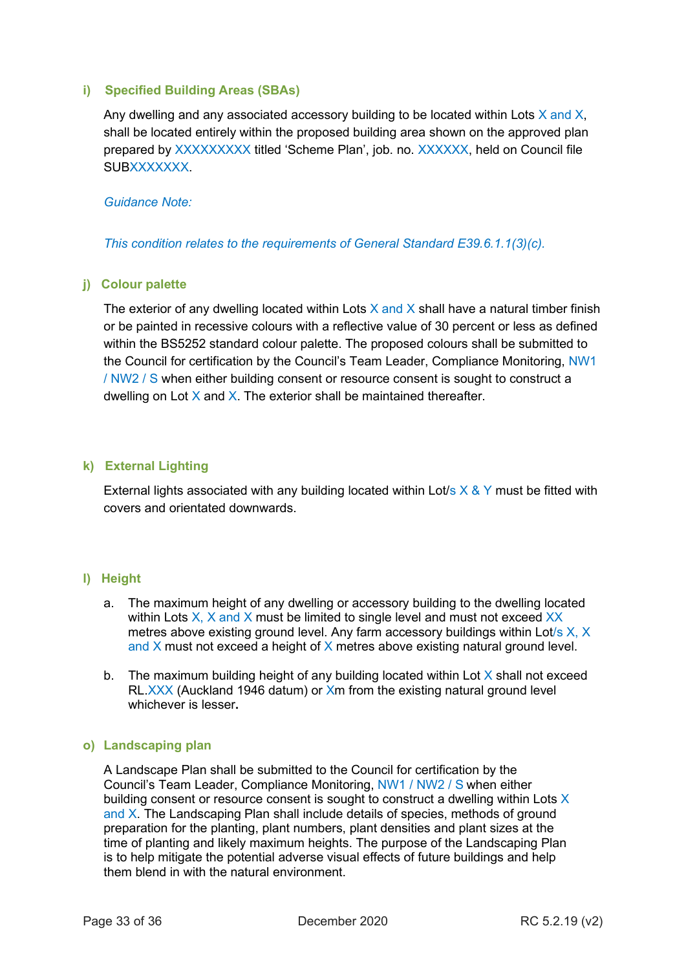#### <span id="page-32-0"></span>**i) Specified Building Areas (SBAs)**

Any dwelling and any associated accessory building to be located within Lots  $X$  and  $X$ , shall be located entirely within the proposed building area shown on the approved plan prepared by XXXXXXXXX titled 'Scheme Plan', job. no. XXXXXX, held on Council file SUBXXXXXXX.

#### *Guidance Note:*

*This condition relates to the requirements of General Standard E39.6.1.1(3)(c).*

## <span id="page-32-1"></span>**j) Colour palette**

The exterior of any dwelling located within Lots  $X$  and  $X$  shall have a natural timber finish or be painted in recessive colours with a reflective value of 30 percent or less as defined within the BS5252 standard colour palette. The proposed colours shall be submitted to the Council for certification by the Council's Team Leader, Compliance Monitoring, NW1 / NW2 / S when either building consent or resource consent is sought to construct a dwelling on Lot  $X$  and  $X$ . The exterior shall be maintained thereafter.

## <span id="page-32-2"></span>**k) External Lighting**

External lights associated with any building located within Lot/s  $\times$  & Y must be fitted with covers and orientated downwards.

## <span id="page-32-3"></span>**l) Height**

- a. The maximum height of any dwelling or accessory building to the dwelling located within Lots  $X$ ,  $X$  and  $X$  must be limited to single level and must not exceed  $XX$ metres above existing ground level. Any farm accessory buildings within Lot/s X, X and  $X$  must not exceed a height of  $X$  metres above existing natural ground level.
- b. The maximum building height of any building located within Lot  $X$  shall not exceed RL.XXX (Auckland 1946 datum) or Xm from the existing natural ground level whichever is lesser**.**

#### <span id="page-32-4"></span>**o) Landscaping plan**

A Landscape Plan shall be submitted to the Council for certification by the Council's Team Leader, Compliance Monitoring, NW1 / NW2 / S when either building consent or resource consent is sought to construct a dwelling within Lots  $X$ and X. The Landscaping Plan shall include details of species, methods of ground preparation for the planting, plant numbers, plant densities and plant sizes at the time of planting and likely maximum heights. The purpose of the Landscaping Plan is to help mitigate the potential adverse visual effects of future buildings and help them blend in with the natural environment.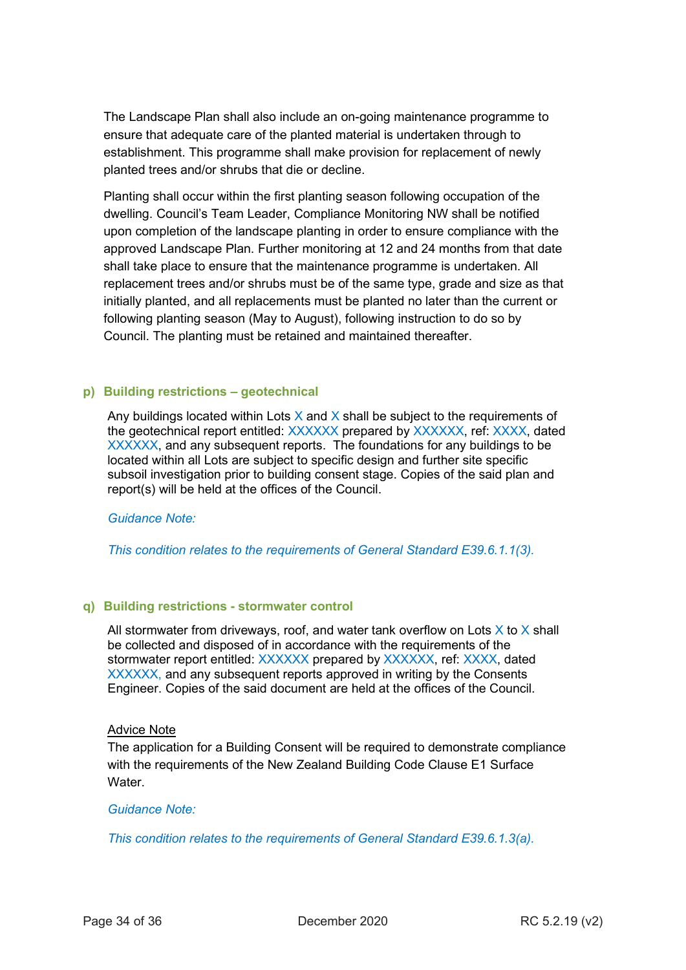The Landscape Plan shall also include an on-going maintenance programme to ensure that adequate care of the planted material is undertaken through to establishment. This programme shall make provision for replacement of newly planted trees and/or shrubs that die or decline.

Planting shall occur within the first planting season following occupation of the dwelling. Council's Team Leader, Compliance Monitoring NW shall be notified upon completion of the landscape planting in order to ensure compliance with the approved Landscape Plan. Further monitoring at 12 and 24 months from that date shall take place to ensure that the maintenance programme is undertaken. All replacement trees and/or shrubs must be of the same type, grade and size as that initially planted, and all replacements must be planted no later than the current or following planting season (May to August), following instruction to do so by Council. The planting must be retained and maintained thereafter.

#### <span id="page-33-0"></span>**p) Building restrictions – geotechnical**

Any buildings located within Lots  $X$  and  $X$  shall be subject to the requirements of the geotechnical report entitled: XXXXXX prepared by XXXXXX, ref: XXXX, dated XXXXXX, and any subsequent reports. The foundations for any buildings to be located within all Lots are subject to specific design and further site specific subsoil investigation prior to building consent stage. Copies of the said plan and report(s) will be held at the offices of the Council.

#### *Guidance Note:*

*This condition relates to the requirements of General Standard E39.6.1.1(3).*

#### <span id="page-33-1"></span>**q) Building restrictions - stormwater control**

All stormwater from driveways, roof, and water tank overflow on Lots  $X$  to  $X$  shall be collected and disposed of in accordance with the requirements of the stormwater report entitled: XXXXXX prepared by XXXXXX, ref: XXXX, dated XXXXXX, and any subsequent reports approved in writing by the Consents Engineer. Copies of the said document are held at the offices of the Council.

#### Advice Note

The application for a Building Consent will be required to demonstrate compliance with the requirements of the New Zealand Building Code Clause E1 Surface **Water** 

#### *Guidance Note:*

*This condition relates to the requirements of General Standard E39.6.1.3(a).*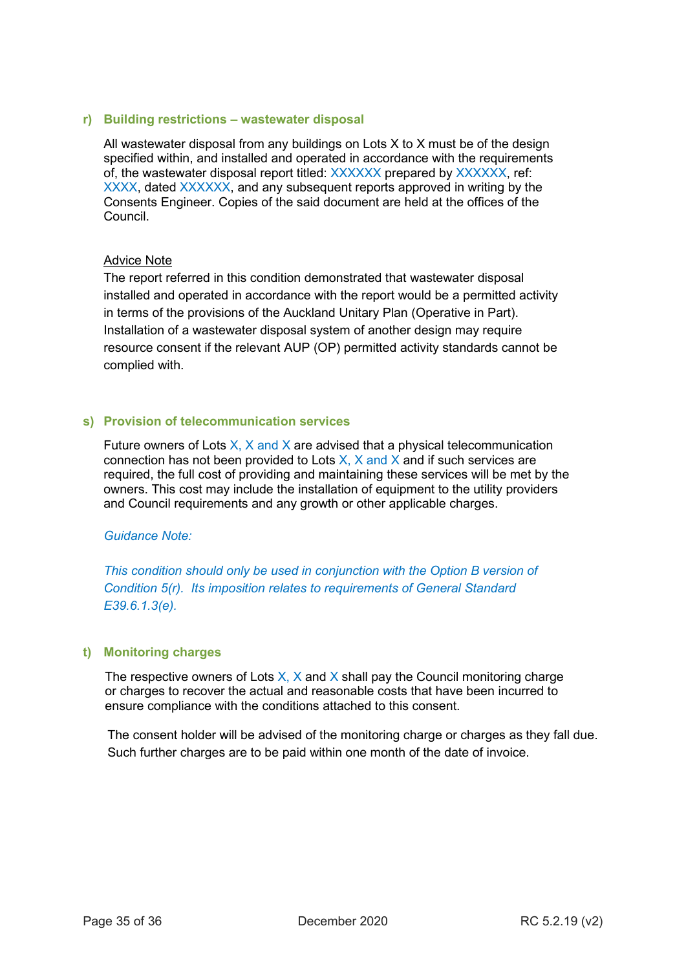#### <span id="page-34-0"></span>**r) Building restrictions – wastewater disposal**

All wastewater disposal from any buildings on Lots X to X must be of the design specified within, and installed and operated in accordance with the requirements of, the wastewater disposal report titled: XXXXXX prepared by XXXXXX, ref: XXXX, dated XXXXXX, and any subsequent reports approved in writing by the Consents Engineer. Copies of the said document are held at the offices of the Council.

#### Advice Note

The report referred in this condition demonstrated that wastewater disposal installed and operated in accordance with the report would be a permitted activity in terms of the provisions of the Auckland Unitary Plan (Operative in Part). Installation of a wastewater disposal system of another design may require resource consent if the relevant AUP (OP) permitted activity standards cannot be complied with.

#### <span id="page-34-1"></span>**s) Provision of telecommunication services**

Future owners of Lots  $X$ ,  $X$  and  $X$  are advised that a physical telecommunication connection has not been provided to Lots  $X$ ,  $X$  and  $X$  and if such services are required, the full cost of providing and maintaining these services will be met by the owners. This cost may include the installation of equipment to the utility providers and Council requirements and any growth or other applicable charges.

#### *Guidance Note:*

*This condition should only be used in conjunction with the Option B version of Condition 5(r). Its imposition relates to requirements of General Standard E39.6.1.3(e).*

## <span id="page-34-2"></span>**t) Monitoring charges**

The respective owners of Lots  $X$ ,  $X$  and  $X$  shall pay the Council monitoring charge or charges to recover the actual and reasonable costs that have been incurred to ensure compliance with the conditions attached to this consent.

The consent holder will be advised of the monitoring charge or charges as they fall due. Such further charges are to be paid within one month of the date of invoice.